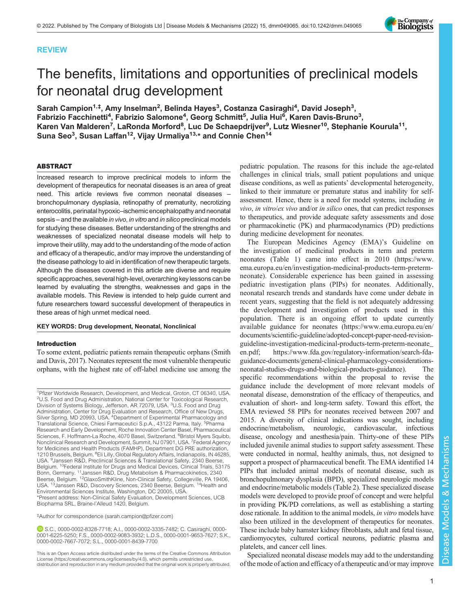

# REVIEW

# The benefits, limitations and opportunities of preclinical models for neonatal drug development

Sarah Campion<sup>1,‡</sup>, Amy Inselman<sup>2</sup>, Belinda Hayes<sup>3</sup>, Costanza Casiraghi<sup>4</sup>, David Joseph<sup>3</sup>, Fabrizio Facchinetti<sup>4</sup>, Fabrizio Salomone<sup>4</sup>, Georg Schmitt<sup>5</sup>, Julia Hui<sup>6</sup>, Karen Davis-Bruno<sup>3</sup>, Karen Van Malderen<sup>7</sup>, LaRonda Morford<sup>8</sup>, Luc De Schaepdrijver<sup>9</sup>, Lutz Wiesner<sup>10</sup>, Stephanie Kourula<sup>11</sup>, Suna Seo $^3$ , Susan Laffan $^{12}$ , Vijay Urmaliya $^{13,\star}$  and Connie Chen $^{14}$ 

#### ABSTRACT

Increased research to improve preclinical models to inform the development of therapeutics for neonatal diseases is an area of great need. This article reviews five common neonatal diseases – bronchopulmonary dysplasia, retinopathy of prematurity, necrotizing enterocolitis, perinatal hypoxic–ischemic encephalopathy and neonatal sepsis – and the available in vivo, in vitro and in silico preclinical models for studying these diseases. Better understanding of the strengths and weaknesses of specialized neonatal disease models will help to improve their utility, may add to the understanding of the mode of action and efficacy of a therapeutic, and/or may improve the understanding of the disease pathology to aid in identification of new therapeutic targets. Although the diseases covered in this article are diverse and require specific approaches, several high-level, overarching key lessons can be learned by evaluating the strengths, weaknesses and gaps in the available models. This Review is intended to help guide current and future researchers toward successful development of therapeutics in these areas of high unmet medical need.

## KEY WORDS: Drug development, Neonatal, Nonclinical

## Introduction

To some extent, pediatric patients remain therapeutic orphans ([Smith](#page-15-0) [and Davis, 2017\)](#page-15-0). Neonates represent the most vulnerable therapeutic orphans, with the highest rate of off-label medicine use among the

‡ Author for correspondence ([sarah.campion@pfizer.com\)](mailto:sarah.campion@pfizer.com)

S.C., [0000-0002-8328-7718;](http://orcid.org/0000-0002-8328-7718) A.I., [0000-0002-3335-7482;](http://orcid.org/0000-0002-3335-7482) C. Casiraghi, [0000-](http://orcid.org/0000-0001-6225-5250) [0001-6225-5250;](http://orcid.org/0000-0001-6225-5250) F.S., [0000-0002-9083-3932;](http://orcid.org/0000-0002-9083-3932) L.D.S., [0000-0001-9653-7627;](http://orcid.org/0000-0001-9653-7627) S.K., [0000-0002-7667-7072;](http://orcid.org/0000-0002-7667-7072) S.L., [0000-0001-8439-7700](http://orcid.org/0000-0001-8439-7700)

This is an Open Access article distributed under the terms of the Creative Commons Attribution License (https://creativecommons.org/licenses/by/4.0), which permits unrestricted use, distribution and reproduction in any medium provided that the original work is properly attributed.

pediatric population. The reasons for this include the age-related challenges in clinical trials, small patient populations and unique disease conditions, as well as patients' developmental heterogeneity, linked to their immature or premature status and inability for selfassessment. Hence, there is a need for model systems, including in vivo, in vitro/ex vivo and/or in silico ones, that can predict responses to therapeutics, and provide adequate safety assessments and dose or pharmacokinetic (PK) and pharmacodynamics (PD) predictions during medicine development for neonates.

The European Medicines Agency (EMA)'s Guideline on the investigation of medicinal products in term and preterm neonates ([Table 1](#page-1-0)) came into effect in 2010 [\(https:](https)/[/www.](http://www.ema.europa.eu/en/investigation-medicinal-products-term-preterm-neonate) [ema.europa.eu/en/investigation-medicinal-products-term-preterm](http://www.ema.europa.eu/en/investigation-medicinal-products-term-preterm-neonate)[neonate\)](http://www.ema.europa.eu/en/investigation-medicinal-products-term-preterm-neonate). Considerable experience has been gained in assessing pediatric investigation plans (PIPs) for neonates. Additionally, neonatal research trends and standards have come under debate in recent years, suggesting that the field is not adequately addressing the development and investigation of products used in this population. There is an ongoing effort to update currently available guidance for neonates [\(https://www.ema.europa.eu/en/](https://www.ema.europa.eu/en/documents/scientific-guideline/adopted-concept-paper-need-revision-guideline-investigation-medicinal-products-term-preterm-neonate_en.pdf) [documents/scientific-guideline/adopted-concept-paper-need-revision](https://www.ema.europa.eu/en/documents/scientific-guideline/adopted-concept-paper-need-revision-guideline-investigation-medicinal-products-term-preterm-neonate_en.pdf)[guideline-investigation-medicinal-products-term-preterm-neonate\\_](https://www.ema.europa.eu/en/documents/scientific-guideline/adopted-concept-paper-need-revision-guideline-investigation-medicinal-products-term-preterm-neonate_en.pdf) [en.pdf](https://www.ema.europa.eu/en/documents/scientific-guideline/adopted-concept-paper-need-revision-guideline-investigation-medicinal-products-term-preterm-neonate_en.pdf); [https://www.fda.gov/regulatory-information/search-fda](https://www.fda.gov/regulatory-information/search-fda-guidance-documents/general-clinical-pharmacology-considerations-neonatal-studies-drugs-and-biological-products-guidance)[guidance-documents/general-clinical-pharmacology-considerations](https://www.fda.gov/regulatory-information/search-fda-guidance-documents/general-clinical-pharmacology-considerations-neonatal-studies-drugs-and-biological-products-guidance)[neonatal-studies-drugs-and-biological-products-guidance](https://www.fda.gov/regulatory-information/search-fda-guidance-documents/general-clinical-pharmacology-considerations-neonatal-studies-drugs-and-biological-products-guidance)). The specific recommendations within the proposal to revise the guidance include the development of more relevant models of neonatal disease, demonstration of the efficacy of therapeutics, and evaluation of short- and long-term safety. Toward this effort, the EMA reviewed 58 PIPs for neonates received between 2007 and 2015. A diversity of clinical indications was sought, including endocrine/metabolism, neurologic, cardiovascular, infectious disease, oncology and anesthesia/pain. Thirty-one of these PIPs included juvenile animal studies to support safety assessment. These were conducted in normal, healthy animals, thus, not designed to support a prospect of pharmaceutical benefit. The EMA identified 14 PIPs that included animal models of neonatal disease, such as bronchopulmonary dysplasia (BPD), specialized neurologic models and endocrine/metabolic models [\(Table 2](#page-1-0)). These specialized disease models were developed to provide proof of concept and were helpful in providing PK/PD correlations, as well as establishing a starting dose rationale. In addition to the animal models, in vitro models have also been utilized in the development of therapeutics for neonates. These include baby hamster kidney fibroblasts, adult and fetal tissue, cardiomyocytes, cultured cortical neurons, pediatric plasma and platelets, and cancer cell lines.

Specialized neonatal disease models may add to the understanding of the mode of action and efficacy of a therapeutic and/or may improve

<sup>&</sup>lt;sup>1</sup>Pfizer Worldwide Research, Development, and Medical, Groton, CT 06340, USA. <sup>2</sup>U.S. Food and Drug Administration, National Center for Toxicological Research, Division of Systems Biology, Jefferson, AR 72079, USA. <sup>3</sup>U.S. Food and Drug Administration, Center for Drug Evaluation and Research, Office of New Drugs, Silver Spring, MD 20993, USA. <sup>4</sup>Department of Experimental Pharmacology and Translational Science, Chiesi Farmaceutici S.p.A., 43122 Parma, Italy. 5Pharma Research and Early Development, Roche Innovation Center Basel, Pharmaceutical Sciences, F. Hoffmann-La Roche, 4070 Basel, Switzerland. <sup>6</sup>Bristol Myers Squibb, Nonclinical Research and Development, Summit, NJ 07901, USA. <sup>7</sup>Federal Agency for Medicines and Health Products (FAMHP), Department DG PRE authorization, 1210 Brussels, Belgium. <sup>8</sup>Eli Lilly, Global Regulatory Affairs, Indianapolis, IN 46285, USA. <sup>9</sup> Janssen R&D, Preclinical Sciences & Translational Safety, 2340 Beerse, Belgium. <sup>10</sup>Federal Institute for Drugs and Medical Devices, Clinical Trials, 53175 Bonn, Germany. 11Janssen R&D, Drug Metabolism & Pharmacokinetics, 2340 Beerse, Belgium. <sup>12</sup>GlaxoSmithKline, Non-Clinical Safety, Collegeville, PA 19406, USA. <sup>13</sup> Janssen R&D, Discovery Sciences, 2340 Beerse, Belgium. <sup>14</sup> Health and Environmental Sciences Institute, Washington, DC 20005, USA. \*Present address: Non-Clinical Safety Evaluation, Development Sciences, UCB Biopharma SRL, Braine-l'Alleud 1420, Belgium.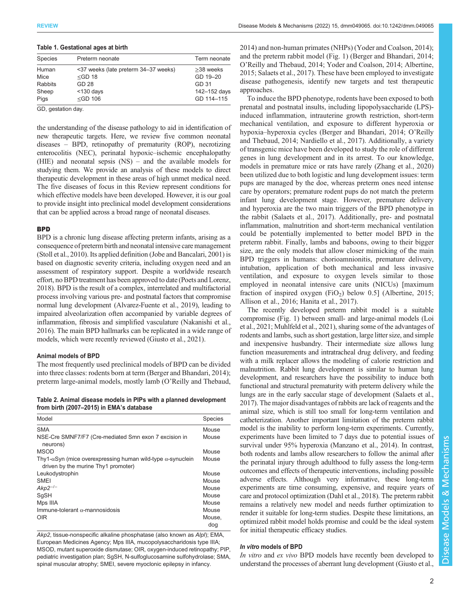| Preterm neonate                      | Term neonate |
|--------------------------------------|--------------|
| <37 weeks (late preterm 34-37 weeks) | $>38$ weeks  |
| $<$ GD 18                            | GD 19-20     |
| GD 28                                | GD 31        |
| $<$ 130 days                         | 142-152 days |
| $<$ GD 106                           | GD 114-115   |
|                                      |              |

<span id="page-1-0"></span>Table 1. Gestational ages at birth

GD, gestation day.

the understanding of the disease pathology to aid in identification of new therapeutic targets. Here, we review five common neonatal diseases – BPD, retinopathy of prematurity (ROP), necrotizing enterocolitis (NEC), perinatal hypoxic–ischemic encephalopathy (HIE) and neonatal sepsis (NS) – and the available models for studying them. We provide an analysis of these models to direct therapeutic development in these areas of high unmet medical need. The five diseases of focus in this Review represent conditions for which effective models have been developed. However, it is our goal to provide insight into preclinical model development considerations that can be applied across a broad range of neonatal diseases.

## **BPD**

BPD is a chronic lung disease affecting preterm infants, arising as a consequence of preterm birth and neonatal intensive care management [\(Stoll et al., 2010\)](#page-15-0). Its applied definition [\(Jobe and Bancalari, 2001](#page-13-0)) is based on diagnostic severity criteria, including oxygen need and an assessment of respiratory support. Despite a worldwide research effort, no BPD treatment has been approved to date [\(Poets and Lorenz,](#page-14-0) [2018\)](#page-14-0). BPD is the result of a complex, interrelated and multifactorial process involving various pre- and postnatal factors that compromise normal lung development [\(Alvarez-Fuente et al., 2019\)](#page-11-0), leading to impaired alveolarization often accompanied by variable degrees of inflammation, fibrosis and simplified vasculature [\(Nakanishi et al.,](#page-14-0) [2016\)](#page-14-0). The main BPD hallmarks can be replicated in a wide range of models, which were recently reviewed [\(Giusto et al., 2021](#page-12-0)).

## Animal models of BPD

The most frequently used preclinical models of BPD can be divided into three classes: rodents born at term ([Berger and Bhandari, 2014](#page-11-0)); preterm large-animal models, mostly lamb (O'[Reilly and Thebaud,](#page-14-0)

Table 2. Animal disease models in PIPs with a planned development from birth (2007–2015) in EMA's database

| Model                                                                                                              | <b>Species</b> |
|--------------------------------------------------------------------------------------------------------------------|----------------|
| <b>SMA</b>                                                                                                         | Mouse          |
| NSE-Cre SMNF7/F7 (Cre-mediated Smn exon 7 excision in<br>neurons)                                                  | Mouse          |
| <b>MSOD</b>                                                                                                        | Mouse          |
| Thy1- $\alpha$ Syn (mice overexpressing human wild-type $\alpha$ -synuclein<br>driven by the murine Thy1 promoter) | Mouse          |
| Leukodystrophin                                                                                                    | Mouse          |
| <b>SMFI</b>                                                                                                        | Mouse          |
| $Akp2^{-/-}$                                                                                                       | Mouse          |
| SqSH                                                                                                               | Mouse          |
| Mps IIIA                                                                                                           | Mouse          |
| $lmmune-tolerant \alpha$ -mannosidosis                                                                             | Mouse          |
| 0IR                                                                                                                | Mouse.         |
|                                                                                                                    | doa            |

Akp2, tissue-nonspecific alkaline phosphatase (also known as Alpl); EMA, European Medicines Agency; Mps IIIA, mucopolysaccharidosis type IIIA; MSOD, mutant superoxide dismutase; OIR, oxygen-induced retinopathy; PIP, pediatric investigation plan; SgSH, N-sulfoglucosamine sulfohydrolase; SMA, spinal muscular atrophy; SMEI, severe myoclonic epilepsy in infancy.

[2014\)](#page-14-0) and non-human primates (NHPs) ([Yoder and Coalson, 2014](#page-15-0)); and the preterm rabbit model ([Fig. 1\)](#page-2-0) ([Berger and Bhandari, 2014](#page-11-0); O'[Reilly and Thebaud, 2014;](#page-14-0) [Yoder and Coalson, 2014](#page-15-0); [Albertine,](#page-11-0) [2015;](#page-11-0) [Salaets et al., 2017\)](#page-14-0). These have been employed to investigate disease pathogenesis, identify new targets and test therapeutic approaches.

To induce the BPD phenotype, rodents have been exposed to both prenatal and postnatal insults, including lipopolysaccharide (LPS) induced inflammation, intrauterine growth restriction, short-term mechanical ventilation, and exposure to different hyperoxia or hypoxia–hyperoxia cycles ([Berger and Bhandari, 2014;](#page-11-0) O'[Reilly](#page-14-0) [and Thebaud, 2014](#page-14-0); [Nardiello et al., 2017\)](#page-14-0). Additionally, a variety of transgenic mice have been developed to study the role of different genes in lung development and in its arrest. To our knowledge, models in premature mice or rats have rarely [\(Zhang et al., 2020\)](#page-16-0) been utilized due to both logistic and lung development issues: term pups are managed by the doe, whereas preterm ones need intense care by operators; premature rodent pups do not match the preterm infant lung development stage. However, premature delivery and hyperoxia are the two main triggers of the BPD phenotype in the rabbit [\(Salaets et al., 2017](#page-14-0)). Additionally, pre- and postnatal inflammation, malnutrition and short-term mechanical ventilation could be potentially implemented to better model BPD in the preterm rabbit. Finally, lambs and baboons, owing to their bigger size, are the only models that allow closer mimicking of the main BPD triggers in humans: chorioamnionitis, premature delivery, intubation, application of both mechanical and less invasive ventilation, and exposure to oxygen levels similar to those employed in neonatal intensive care units (NICUs) [maximum fraction of inspired oxygen  $(FiO<sub>2</sub>)$  below 0.5] [\(Albertine, 2015](#page-11-0); [Allison et al., 2016;](#page-11-0) [Hanita et al., 2017\)](#page-12-0).

The recently developed preterm rabbit model is a suitable compromise ([Fig. 1](#page-2-0)) between small- and large-animal models [\(Loi](#page-13-0) [et al., 2021](#page-13-0); [Muhlfeld et al., 2021](#page-14-0)), sharing some of the advantages of rodents and lambs, such as short gestation, large litter size, and simple and inexpensive husbandry. Their intermediate size allows lung function measurements and intratracheal drug delivery, and feeding with a milk replacer allows the modeling of calorie restriction and malnutrition. Rabbit lung development is similar to human lung development, and researchers have the possibility to induce both functional and structural prematurity with preterm delivery while the lungs are in the early saccular stage of development [\(Salaets et al.,](#page-14-0) [2017\)](#page-14-0). The major disadvantages of rabbits are lack of reagents and the animal size, which is still too small for long-term ventilation and catheterization. Another important limitation of the preterm rabbit model is the inability to perform long-term experiments. Currently, experiments have been limited to 7 days due to potential issues of survival under 95% hyperoxia ([Manzano et al., 2014](#page-13-0)). In contrast, both rodents and lambs allow researchers to follow the animal after the perinatal injury through adulthood to fully assess the long-term outcomes and effects of therapeutic interventions, including possible adverse effects. Although very informative, these long-term experiments are time consuming, expensive, and require years of care and protocol optimization [\(Dahl et al., 2018\)](#page-12-0). The preterm rabbit remains a relatively new model and needs further optimization to render it suitable for long-term studies. Despite these limitations, an optimized rabbit model holds promise and could be the ideal system for initial therapeutic efficacy studies.

## In vitro models of BPD

In vitro and ex vivo BPD models have recently been developed to understand the processes of aberrant lung development ([Giusto et al.,](#page-12-0)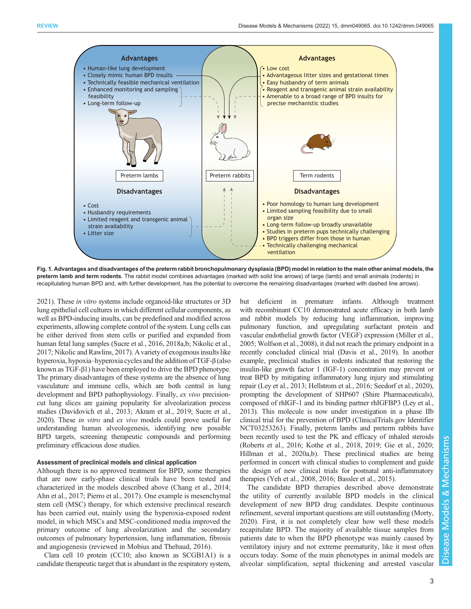<span id="page-2-0"></span>

Fig. 1. Advantages and disadvantages of the preterm rabbit bronchopulmonary dysplasia (BPD) model in relation to the main other animal models, the preterm lamb and term rodents. The rabbit model combines advantages (marked with solid line arrows) of large (lamb) and small animals (rodents) in recapitulating human BPD and, with further development, has the potential to overcome the remaining disadvantages (marked with dashed line arrows).

[2021\)](#page-12-0). These *in vitro* systems include organoid-like structures or 3D lung epithelial cell cultures in which different cellular components, as well as BPD-inducing insults, can be predefined and modified across experiments, allowing complete control of the system. Lung cells can be either derived from stem cells or purified and expanded from human fetal lung samples ([Sucre et al., 2016](#page-15-0), [2018a,b;](#page-15-0) [Nikolic et al.,](#page-14-0) [2017; Nikolic and Rawlins, 2017](#page-14-0)). A variety of exogenous insults like hyperoxia, hypoxia–hyperoxia cycles and the addition of TGF-β (also known as TGF-β1) have been employed to drive the BPD phenotype. The primary disadvantages of these systems are the absence of lung vasculature and immune cells, which are both central in lung development and BPD pathophysiology. Finally, ex vivo precisioncut lung slices are gaining popularity for alveolarization process studies ([Davidovich et al., 2013;](#page-12-0) [Akram et al., 2019](#page-11-0); [Sucre et al.,](#page-15-0) [2020\)](#page-15-0). These in vitro and ex vivo models could prove useful for understanding human alveologenesis, identifying new possible BPD targets, screening therapeutic compounds and performing preliminary efficacious dose studies.

## Assessment of preclinical models and clinical application

Although there is no approved treatment for BPD, some therapies that are now early-phase clinical trials have been tested and characterized in the models described above [\(Chang et al., 2014](#page-11-0); [Ahn et al., 2017](#page-11-0); [Pierro et al., 2017\)](#page-14-0). One example is mesenchymal stem cell (MSC) therapy, for which extensive preclinical research has been carried out, mainly using the hyperoxia-exposed rodent model, in which MSCs and MSC-conditioned media improved the primary outcome of lung alveolarization and the secondary outcomes of pulmonary hypertension, lung inflammation, fibrosis and angiogenesis (reviewed in [Mobius and Thebaud, 2016](#page-13-0)).

Clara cell 10 protein (CC10; also known as SCGB1A1) is a candidate therapeutic target that is abundant in the respiratory system, but deficient in premature infants. Although treatment with recombinant CC10 demonstrated acute efficacy in both lamb and rabbit models by reducing lung inflammation, improving pulmonary function, and upregulating surfactant protein and vascular endothelial growth factor (VEGF) expression [\(Miller et al.,](#page-13-0) [2005;](#page-13-0) [Wolfson et al., 2008\)](#page-15-0), it did not reach the primary endpoint in a recently concluded clinical trial [\(Davis et al., 2019](#page-12-0)). In another example, preclinical studies in rodents indicated that restoring the insulin-like growth factor 1 (IGF-1) concentration may prevent or treat BPD by mitigating inflammatory lung injury and stimulating repair ([Ley et al., 2013](#page-13-0); [Hellstrom et al., 2016](#page-12-0); [Seedorf et al., 2020\)](#page-14-0), prompting the development of SHP607 (Shire Pharmaceuticals), composed of rhIGF-1 and its binding partner rhIGFBP3 ([Ley et al.,](#page-13-0) [2013\)](#page-13-0). This molecule is now under investigation in a phase IIb clinical trial for the prevention of BPD (ClinicalTrials.gov Identifier [NCT03253263](https://www.clinicaltrials.gov/ct2/show/NCT03253263)). Finally, preterm lambs and preterm rabbits have been recently used to test the PK and efficacy of inhaled steroids [\(Roberts et al., 2016;](#page-14-0) [Kothe et al., 2018, 2019;](#page-13-0) [Gie et al., 2020](#page-12-0); [Hillman et al., 2020a,b](#page-12-0)). These preclinical studies are being performed in concert with clinical studies to complement and guide the design of new clinical trials for postnatal anti-inflammatory therapies [\(Yeh et al., 2008](#page-15-0), [2016;](#page-15-0) [Bassler et al., 2015\)](#page-11-0).

The candidate BPD therapies described above demonstrate the utility of currently available BPD models in the clinical development of new BPD drug candidates. Despite continuous refinement, several important questions are still outstanding [\(Morty,](#page-14-0) [2020\)](#page-14-0). First, it is not completely clear how well these models recapitulate BPD. The majority of available tissue samples from patients date to when the BPD phenotype was mainly caused by ventilatory injury and not extreme prematurity, like it most often occurs today. Some of the main phenotypes in animal models are alveolar simplification, septal thickening and arrested vascular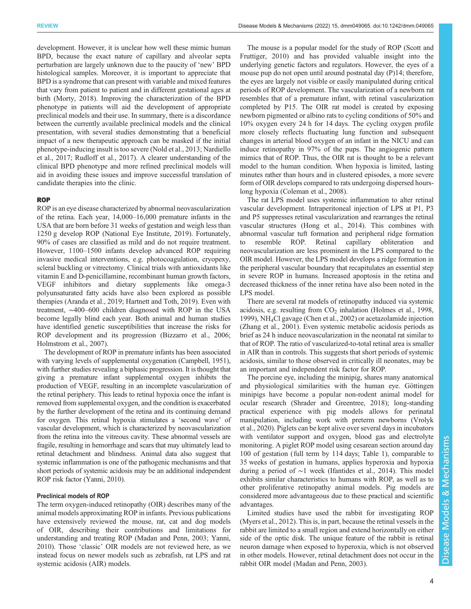development. However, it is unclear how well these mimic human BPD, because the exact nature of capillary and alveolar septa perturbation are largely unknown due to the paucity of 'new' BPD histological samples. Moreover, it is important to appreciate that BPD is a syndrome that can present with variable and mixed features that vary from patient to patient and in different gestational ages at birth ([Morty, 2018\)](#page-14-0). Improving the characterization of the BPD phenotype in patients will aid the development of appropriate preclinical models and their use. In summary, there is a discordance between the currently available preclinical models and the clinical presentation, with several studies demonstrating that a beneficial impact of a new therapeutic approach can be masked if the initial phenotype-inducing insult is too severe [\(Nold et al., 2013](#page-14-0); [Nardiello](#page-14-0) [et al., 2017; Rudloff et al., 2017\)](#page-14-0). A clearer understanding of the clinical BPD phenotype and more refined preclinical models will aid in avoiding these issues and improve successful translation of candidate therapies into the clinic.

## **ROP**

ROP is an eye disease characterized by abnormal neovascularization of the retina. Each year, 14,000–16,000 premature infants in the USA that are born before 31 weeks of gestation and weigh less than 1250 g develop ROP [\(National Eye Institute, 2019\)](#page-14-0). Fortunately, 90% of cases are classified as mild and do not require treatment. However, 1100–1500 infants develop advanced ROP requiring invasive medical interventions, e.g. photocoagulation, cryopexy, scleral buckling or vitrectomy. Clinical trials with antioxidants like vitamin E and D-penicillamine, recombinant human growth factors, VEGF inhibitors and dietary supplements like omega-3 polyunsaturated fatty acids have also been explored as possible therapies [\(Aranda et al., 2019;](#page-11-0) [Hartnett and Toth, 2019\)](#page-12-0). Even with treatment, ∼400–600 children diagnosed with ROP in the USA become legally blind each year. Both animal and human studies have identified genetic susceptibilities that increase the risks for ROP development and its progression ([Bizzarro et al., 2006](#page-11-0); [Holmstrom et al., 2007\)](#page-13-0).

The development of ROP in premature infants has been associated with varying levels of supplemental oxygenation [\(Campbell, 1951\)](#page-11-0), with further studies revealing a biphasic progression. It is thought that giving a premature infant supplemental oxygen inhibits the production of VEGF, resulting in an incomplete vascularization of the retinal periphery. This leads to retinal hypoxia once the infant is removed from supplemental oxygen, and the condition is exacerbated by the further development of the retina and its continuing demand for oxygen. This retinal hypoxia stimulates a 'second wave' of vascular development, which is characterized by neovascularization from the retina into the vitreous cavity. These abnormal vessels are fragile, resulting in hemorrhage and scars that may ultimately lead to retinal detachment and blindness. Animal data also suggest that systemic inflammation is one of the pathogenic mechanisms and that short periods of systemic acidosis may be an additional independent ROP risk factor ([Yanni, 2010\)](#page-15-0).

## Preclinical models of ROP

The term oxygen-induced retinopathy (OIR) describes many of the animal models approximating ROP in infants. Previous publications have extensively reviewed the mouse, rat, cat and dog models of OIR, describing their contributions and limitations for understanding and treating ROP [\(Madan and Penn, 2003;](#page-13-0) [Yanni,](#page-15-0) [2010](#page-15-0)). Those 'classic' OIR models are not reviewed here, as we instead focus on newer models such as zebrafish, rat LPS and rat systemic acidosis (AIR) models.

The mouse is a popular model for the study of ROP [\(Scott and](#page-14-0) [Fruttiger, 2010\)](#page-14-0) and has provided valuable insight into the underlying genetic factors and regulators. However, the eyes of a mouse pup do not open until around postnatal day (P)14; therefore, the eyes are largely not visible or easily manipulated during critical periods of ROP development. The vascularization of a newborn rat resembles that of a premature infant, with retinal vascularization completed by P15. The OIR rat model is created by exposing newborn pigmented or albino rats to cycling conditions of 50% and 10% oxygen every 24 h for 14 days. The cycling oxygen profile more closely reflects fluctuating lung function and subsequent changes in arterial blood oxygen of an infant in the NICU and can induce retinopathy in 97% of the pups. The angiogenic pattern mimics that of ROP. Thus, the OIR rat is thought to be a relevant model to the human condition. When hypoxia is limited, lasting minutes rather than hours and in clustered episodes, a more severe form of OIR develops compared to rats undergoing dispersed hourslong hypoxia ([Coleman et al., 2008\)](#page-12-0).

The rat LPS model uses systemic inflammation to alter retinal vascular development. Intraperitoneal injection of LPS at P1, P3 and P5 suppresses retinal vascularization and rearranges the retinal vascular structures [\(Hong et al., 2014\)](#page-13-0). This combines with abnormal vascular tuft formation and peripheral ridge formation to resemble ROP. Retinal capillary obliteration and neovascularization are less prominent in the LPS compared to the OIR model. However, the LPS model develops a ridge formation in the peripheral vascular boundary that recapitulates an essential step in severe ROP in humans. Increased apoptosis in the retina and decreased thickness of the inner retina have also been noted in the LPS model.

There are several rat models of retinopathy induced via systemic acidosis, e.g. resulting from  $CO<sub>2</sub>$  inhalation [\(Holmes et al., 1998,](#page-13-0) [1999\)](#page-13-0), NH4Cl gavage [\(Chen et al., 2002](#page-11-0)) or acetazolamide injection [\(Zhang et al., 2001\)](#page-16-0). Even systemic metabolic acidosis periods as brief as 24 h induce neovascularization in the neonatal rat similar to that of ROP. The ratio of vascularized-to-total retinal area is smaller in AIR than in controls. This suggests that short periods of systemic acidosis, similar to those observed in critically ill neonates, may be an important and independent risk factor for ROP.

The porcine eye, including the minipig, shares many anatomical and physiological similarities with the human eye. Göttingen minipigs have become a popular non-rodent animal model for ocular research ([Shrader and Greentree, 2018](#page-15-0)); long-standing practical experience with pig models allows for perinatal manipulation, including work with preterm newborns [\(Vrolyk](#page-15-0) [et al., 2020\)](#page-15-0). Piglets can be kept alive over several days in incubators with ventilator support and oxygen, blood gas and electrolyte monitoring. A piglet ROP model using cesarean section around day 100 of gestation (full term by 114 days; [Table 1\)](#page-1-0), comparable to 35 weeks of gestation in humans, applies hyperoxia and hypoxia during a period of ∼1 week [\(Ifantides et al., 2014\)](#page-13-0). This model exhibits similar characteristics to humans with ROP, as well as to other proliferative retinopathy animal models. Pig models are considered more advantageous due to these practical and scientific advantages.

Limited studies have used the rabbit for investigating ROP [\(Myers et al., 2012](#page-14-0)). This is, in part, because the retinal vessels in the rabbit are limited to a small region and extend horizontally on either side of the optic disk. The unique feature of the rabbit is retinal neuron damage when exposed to hyperoxia, which is not observed in other models. However, retinal detachment does not occur in the rabbit OIR model ([Madan and Penn, 2003\)](#page-13-0).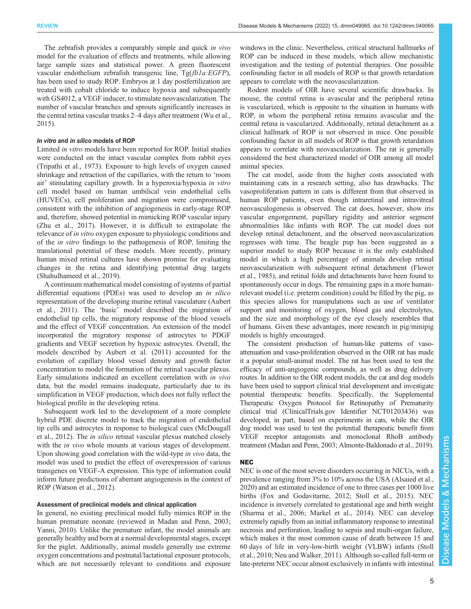The zebrafish provides a comparably simple and quick in vivo model for the evaluation of effects and treatments, while allowing large sample sizes and statistical power. A green fluorescent vascular endothelium zebrafish transgenic line, Tg(fli1a:EGFP), has been used to study ROP. Embryos at 1 day postfertilization are treated with cobalt chloride to induce hypoxia and subsequently with GS4012, a VEGF inducer, to stimulate neovascularization. The number of vascular branches and sprouts significantly increases in the central retina vascular trunks 2–4 days after treatment [\(Wu et al.,](#page-15-0) [2015](#page-15-0)).

## In vitro and in silico models of ROP

Limited in vitro models have been reported for ROP. Initial studies were conducted on the intact vascular complex from rabbit eyes [\(Tripathi et al., 1973](#page-15-0)). Exposure to high levels of oxygen caused shrinkage and retraction of the capillaries, with the return to 'room air' stimulating capillary growth. In a hyperoxia/hypoxia in vitro cell model based on human umbilical vein endothelial cells (HUVECs), cell proliferation and migration were compromised, consistent with the inhibition of angiogenesis in early-stage ROP and, therefore, showed potential in mimicking ROP vascular injury [\(Zhu et al., 2017\)](#page-16-0). However, it is difficult to extrapolate the relevance of *in vitro* oxygen exposure to physiologic conditions and of the in vitro findings to the pathogenesis of ROP, limiting the translational potential of these models. More recently, primary human mixed retinal cultures have shown promise for evaluating changes in the retina and identifying potential drug targets [\(Shahulhameed et al., 2019\)](#page-15-0).

A continuum mathematical model consisting of systems of partial differential equations (PDEs) was used to develop an in silico representation of the developing murine retinal vasculature ([Aubert](#page-11-0) [et al., 2011](#page-11-0)). The 'basic' model described the migration of endothelial tip cells, the migratory response of the blood vessels and the effect of VEGF concentration. An extension of the model incorporated the migratory response of astrocytes to PDGF gradients and VEGF secretion by hypoxic astrocytes. Overall, the models described by [Aubert et al. \(2011\)](#page-11-0) accounted for the evolution of capillary blood vessel density and growth factor concentration to model the formation of the retinal vascular plexus. Early simulations indicated an excellent correlation with in vivo data, but the model remains inadequate, particularly due to its simplification in VEGF production, which does not fully reflect the biological profile in the developing retina.

Subsequent work led to the development of a more complete hybrid PDE discrete model to track the migration of endothelial tip cells and astrocytes in response to biological cues ([McDougall](#page-13-0) [et al., 2012](#page-13-0)). The in silico retinal vascular plexus matched closely with the *in vivo* whole mounts at various stages of development. Upon showing good correlation with the wild-type in vivo data, the model was used to predict the effect of overexpression of various transgenes on VEGF-A expression. This type of information could inform future predictions of aberrant angiogenesis in the context of ROP ([Watson et al., 2012](#page-15-0)).

#### Assessment of preclinical models and clinical application

In general, no existing preclinical model fully mimics ROP in the human premature neonate (reviewed in [Madan and Penn, 2003](#page-13-0); [Yanni, 2010](#page-15-0)). Unlike the premature infant, the model animals are generally healthy and born at a normal developmental stages, except for the piglet. Additionally, animal models generally use extreme oxygen concentrations and postnatal/lactational exposure protocols, which are not necessarily relevant to conditions and exposure

windows in the clinic. Nevertheless, critical structural hallmarks of ROP can be induced in these models, which allow mechanistic investigation and the testing of potential therapies. One possible confounding factor in all models of ROP is that growth retardation appears to correlate with the neovascularization.

Rodent models of OIR have several scientific drawbacks. In mouse, the central retina is avascular and the peripheral retina is vascularized, which is opposite to the situation in humans with ROP, in whom the peripheral retina remains avascular and the central retina is vascularized. Additionally, retinal detachment as a clinical hallmark of ROP is not observed in mice. One possible confounding factor in all models of ROP is that growth retardation appears to correlate with neovascularization. The rat is generally considered the best characterized model of OIR among all model animal species.

The cat model, aside from the higher costs associated with maintaining cats in a research setting, also has drawbacks. The vasoproliferation pattern in cats is different from that observed in human ROP patients, even though intraretinal and intravitreal neovasculogenesis is observed. The cat does, however, show iris vascular engorgement, pupillary rigidity and anterior segment abnormalities like infants with ROP. The cat model does not develop retinal detachment, and the observed neovascularization regresses with time. The beagle pup has been suggested as a superior model to study ROP because it is the only established model in which a high percentage of animals develop retinal neovascularization with subsequent retinal detachment ([Flower](#page-12-0) [et al., 1985](#page-12-0)), and retinal folds and detachments have been found to spontaneously occur in dogs. The remaining gaps in a more humanrelevant model (i.e. preterm condition) could be filled by the pig, as this species allows for manipulations such as use of ventilator support and monitoring of oxygen, blood gas and electrolytes, and the size and morphology of the eye closely resembles that of humans. Given these advantages, more research in pig/minipig models is highly encouraged.

The consistent production of human-like patterns of vasoattenuation and vaso-proliferation observed in the OIR rat has made it a popular small-animal model. The rat has been used to test the efficacy of anti-angiogenic compounds, as well as drug delivery routes. In addition to the OIR rodent models, the cat and dog models have been used to support clinical trial development and investigate potential therapeutic benefits. Specifically, the Supplemental Therapeutic Oxygen Protocol for Retinopathy of Prematurity clinical trial (ClinicalTrials.gov Identifier [NCT01203436\)](https://clinicaltrials.gov/ct2/show/NCT01203436) was developed, in part, based on experiments in cats, while the OIR dog model was used to test the potential therapeutic benefit from VEGF receptor antagonists and monoclonal RhoB antibody treatment ([Madan and Penn, 2003](#page-13-0); [Almonte-Baldonado et al., 2019\)](#page-11-0).

## NEC

NEC is one of the most severe disorders occurring in NICUs, with a prevalence ranging from 3% to 10% across the USA ([Alsaied et al.,](#page-11-0) [2020\)](#page-11-0) and an estimated incidence of one to three cases per 1000 live births ([Fox and Godavitarne, 2012;](#page-12-0) [Stoll et al., 2015](#page-15-0)). NEC incidence is inversely correlated to gestational age and birth weight [\(Sharma et al., 2006;](#page-15-0) [Markel et al., 2014](#page-13-0)). NEC can develop extremely rapidly from an initial inflammatory response to intestinal necrosis and perforation, leading to sepsis and multi-organ failure, which makes it the most common cause of death between 15 and 60 days of life in very-low-birth weight (VLBW) infants [\(Stoll](#page-15-0) [et al., 2010;](#page-15-0) [Neu and Walker, 2011\)](#page-14-0). Although so-called full-term or late-preterm NEC occur almost exclusively in infants with intestinal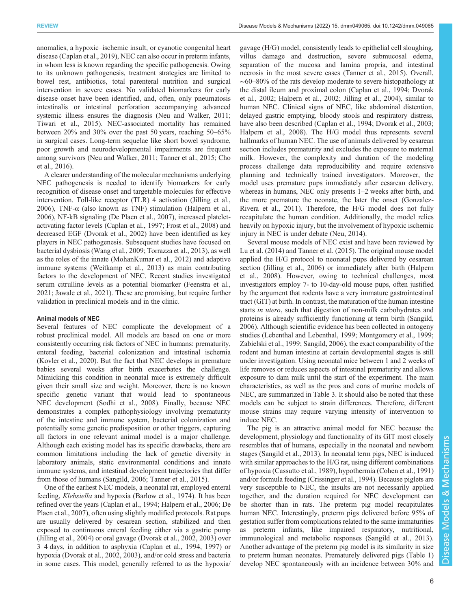anomalies, a hypoxic–ischemic insult, or cyanotic congenital heart disease [\(Caplan et al., 2019](#page-11-0)), NEC can also occur in preterm infants, in whom less is known regarding the specific pathogenesis. Owing to its unknown pathogenesis, treatment strategies are limited to bowel rest, antibiotics, total parenteral nutrition and surgical intervention in severe cases. No validated biomarkers for early disease onset have been identified, and, often, only pneumatosis intestinalis or intestinal perforation accompanying advanced systemic illness ensures the diagnosis ([Neu and Walker, 2011](#page-14-0); [Tiwari et al., 2015](#page-15-0)). NEC-associated mortality has remained between 20% and 30% over the past 50 years, reaching 50–65% in surgical cases. Long-term sequelae like short bowel syndrome, poor growth and neurodevelopmental impairments are frequent among survivors ([Neu and Walker, 2011;](#page-14-0) [Tanner et al., 2015;](#page-15-0) [Cho](#page-12-0) [et al., 2016\)](#page-12-0).

A clearer understanding of the molecular mechanisms underlying NEC pathogenesis is needed to identify biomarkers for early recognition of disease onset and targetable molecules for effective intervention. Toll-like receptor (TLR) 4 activation [\(Jilling et al.,](#page-13-0) [2006](#page-13-0)), TNF- $\alpha$  (also known as TNF) stimulation ([Halpern et al.,](#page-12-0) [2006](#page-12-0)), NF-kB signaling [\(De Plaen et al., 2007\)](#page-12-0), increased plateletactivating factor levels [\(Caplan et al., 1997](#page-11-0); [Frost et al., 2008\)](#page-12-0) and decreased EGF ([Dvorak et al., 2002\)](#page-12-0) have been identified as key players in NEC pathogenesis. Subsequent studies have focused on bacterial dysbiosis ([Wang et al., 2009; Torrazza et al., 2013](#page-15-0)), as well as the roles of the innate [\(MohanKumar et al., 2012\)](#page-13-0) and adaptive immune systems [\(Weitkamp et al., 2013](#page-15-0)) as main contributing factors to the development of NEC. Recent studies investigated serum citrulline levels as a potential biomarker [\(Feenstra et al.,](#page-12-0) [2021](#page-12-0); [Jawale et al., 2021\)](#page-13-0). These are promising, but require further validation in preclinical models and in the clinic.

#### Animal models of NEC

Several features of NEC complicate the development of a robust preclinical model. All models are based on one or more consistently occurring risk factors of NEC in humans: prematurity, enteral feeding, bacterial colonization and intestinal ischemia [\(Kovler et al., 2020](#page-13-0)). But the fact that NEC develops in premature babies several weeks after birth exacerbates the challenge. Mimicking this condition in neonatal mice is extremely difficult given their small size and weight. Moreover, there is no known specific genetic variant that would lead to spontaneous NEC development ([Sodhi et al., 2008\)](#page-15-0). Finally, because NEC demonstrates a complex pathophysiology involving prematurity of the intestine and immune system, bacterial colonization and potentially some genetic predisposition or other triggers, capturing all factors in one relevant animal model is a major challenge. Although each existing model has its specific drawbacks, there are common limitations including the lack of genetic diversity in laboratory animals, static environmental conditions and innate immune systems, and intestinal development trajectories that differ from those of humans ([Sangild, 2006;](#page-14-0) [Tanner et al., 2015\)](#page-15-0).

One of the earliest NEC models, a neonatal rat, employed enteral feeding, Klebsiella and hypoxia ([Barlow et al., 1974\)](#page-11-0). It has been refined over the years ([Caplan et al., 1994;](#page-11-0) [Halpern et al., 2006](#page-12-0); [De](#page-12-0) [Plaen et al., 2007\)](#page-12-0), often using slightly modified protocols. Rat pups are usually delivered by cesarean section, stabilized and then exposed to continuous enteral feeding either via a gastric pump [\(Jilling et al., 2004\)](#page-13-0) or oral gavage ([Dvorak et al., 2002, 2003](#page-12-0)) over 3–4 days, in addition to asphyxia ([Caplan et al., 1994](#page-11-0), [1997](#page-11-0)) or hypoxia ([Dvorak et al., 2002, 2003](#page-12-0)), and/or cold stress and bacteria in some cases. This model, generally referred to as the hypoxia/

gavage (H/G) model, consistently leads to epithelial cell sloughing, villus damage and destruction, severe submucosal edema, separation of the mucosa and lamina propria, and intestinal necrosis in the most severe cases [\(Tanner et al., 2015\)](#page-15-0). Overall, ∼60–80% of the rats develop moderate to severe histopathology at the distal ileum and proximal colon [\(Caplan et al., 1994](#page-11-0); [Dvorak](#page-12-0) [et al., 2002](#page-12-0); [Halpern et al., 2002;](#page-12-0) [Jilling et al., 2004](#page-13-0)), similar to human NEC. Clinical signs of NEC, like abdominal distention, delayed gastric emptying, bloody stools and respiratory distress, have also been described ([Caplan et al., 1994;](#page-11-0) [Dvorak et al., 2003](#page-12-0); [Halpern et al., 2008\)](#page-12-0). The H/G model thus represents several hallmarks of human NEC. The use of animals delivered by cesarean section includes prematurity and excludes the exposure to maternal milk. However, the complexity and duration of the modeling process challenge data reproducibility and require extensive planning and technically trained investigators. Moreover, the model uses premature pups immediately after cesarean delivery, whereas in humans, NEC only presents 1–2 weeks after birth, and the more premature the neonate, the later the onset [\(Gonzalez-](#page-12-0)[Rivera et al., 2011](#page-12-0)). Therefore, the H/G model does not fully recapitulate the human condition. Additionally, the model relies heavily on hypoxic injury, but the involvement of hypoxic ischemic injury in NEC is under debate ([Neu, 2014\)](#page-14-0).

Several mouse models of NEC exist and have been reviewed by [Lu et al. \(2014\)](#page-13-0) and [Tanner et al. \(2015\)](#page-15-0). The original mouse model applied the H/G protocol to neonatal pups delivered by cesarean section ([Jilling et al., 2006\)](#page-13-0) or immediately after birth ([Halpern](#page-12-0) [et al., 2008](#page-12-0)). However, owing to technical challenges, most investigators employ 7- to 10-day-old mouse pups, often justified by the argument that rodents have a very immature gastrointestinal tract (GIT) at birth. In contrast, the maturation of the human intestine starts *in utero*, such that digestion of non-milk carbohydrates and proteins is already sufficiently functioning at term birth ([Sangild,](#page-14-0) [2006\)](#page-14-0). Although scientific evidence has been collected in ontogeny studies ([Lebenthal and Lebenthal, 1999;](#page-13-0) [Montgomery et al., 1999](#page-14-0); [Zabielski et al., 1999](#page-15-0); [Sangild, 2006\)](#page-14-0), the exact comparability of the rodent and human intestine at certain developmental stages is still under investigation. Using neonatal mice between 1 and 2 weeks of life removes or reduces aspects of intestinal prematurity and allows exposure to dam milk until the start of the experiment. The main characteristics, as well as the pros and cons of murine models of NEC, are summarized in [Table 3.](#page-6-0) It should also be noted that these models can be subject to strain differences. Therefore, different mouse strains may require varying intensity of intervention to induce NEC.

The pig is an attractive animal model for NEC because the development, physiology and functionality of its GIT most closely resembles that of humans, especially in the neonatal and newborn stages [\(Sangild et al., 2013\)](#page-14-0). In neonatal term pigs, NEC is induced with similar approaches to the H/G rat, using different combinations of hypoxia [\(Cassutto et al., 1989](#page-11-0)), hypothermia [\(Cohen et al., 1991\)](#page-12-0) and/or formula feeding ([Crissinger et al., 1994\)](#page-12-0). Because piglets are very susceptible to NEC, the insults are not necessarily applied together, and the duration required for NEC development can be shorter than in rats. The preterm pig model recapitulates human NEC. Interestingly, preterm pigs delivered before 95% of gestation suffer from complications related to the same immaturities as preterm infants, like impaired respiratory, nutritional, immunological and metabolic responses [\(Sangild et al., 2013\)](#page-14-0). Another advantage of the preterm pig model is its similarity in size to preterm human neonates. Prematurely delivered pigs ([Table 1\)](#page-1-0) develop NEC spontaneously with an incidence between 30% and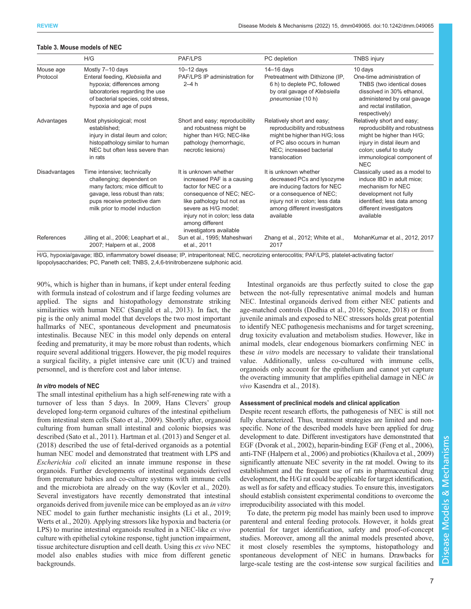|                       | H/G                                                                                                                                                                                           | <b>PAF/LPS</b>                                                                                                                                                                                                                              | PC depletion                                                                                                                                                                                    | <b>TNBS injury</b>                                                                                                                                                                            |
|-----------------------|-----------------------------------------------------------------------------------------------------------------------------------------------------------------------------------------------|---------------------------------------------------------------------------------------------------------------------------------------------------------------------------------------------------------------------------------------------|-------------------------------------------------------------------------------------------------------------------------------------------------------------------------------------------------|-----------------------------------------------------------------------------------------------------------------------------------------------------------------------------------------------|
| Mouse age<br>Protocol | Mostly 7-10 days<br>Enteral feeding, Klebsiella and<br>hypoxia; differences among<br>laboratories regarding the use<br>of bacterial species, cold stress,<br>hypoxia and age of pups          | $10-12$ days<br>PAF/LPS IP administration for<br>$2-4h$                                                                                                                                                                                     | $14-16$ days<br>Pretreatment with Dithizone (IP,<br>6 h) to deplete PC, followed<br>by oral gavage of Klebsiella<br>pneumoniae (10 h)                                                           | 10 days<br>One-time administration of<br>TNBS (two identical doses<br>dissolved in 30% ethanol,<br>administered by oral gavage<br>and rectal instillation,<br>respectively)                   |
| Advantages            | Most physiological; most<br>established:<br>injury in distal ileum and colon;<br>histopathology similar to human<br>NEC but often less severe than<br>in rats                                 | Short and easy; reproducibility<br>and robustness might be<br>higher than H/G; NEC-like<br>pathology (hemorrhagic,<br>necrotic lesions)                                                                                                     | Relatively short and easy;<br>reproducibility and robustness<br>might be higher than H/G; loss<br>of PC also occurs in human<br>NEC: increased bacterial<br>translocation                       | Relatively short and easy;<br>reproducibility and robustness<br>might be higher than H/G;<br>injury in distal ileum and<br>colon; useful to study<br>immunological component of<br><b>NEC</b> |
| Disadvantages         | Time intensive; technically<br>challenging; dependent on<br>many factors; mice difficult to<br>gavage, less robust than rats;<br>pups receive protective dam<br>milk prior to model induction | It is unknown whether<br>increased PAF is a causing<br>factor for NEC or a<br>consequence of NEC; NEC-<br>like pathology but not as<br>severe as H/G model;<br>injury not in colon; less data<br>among different<br>investigators available | It is unknown whether<br>decreased PCs and lysozyme<br>are inducing factors for NEC<br>or a consequence of NEC;<br>injury not in colon; less data<br>among different investigators<br>available | Classically used as a model to<br>induce IBD in adult mice;<br>mechanism for NEC<br>development not fully<br>identified; less data among<br>different investigators<br>available              |
| References            | Jilling et al., 2006; Leaphart et al.,<br>2007; Halpern et al., 2008                                                                                                                          | Sun et al., 1995; Maheshwari<br>et al., 2011                                                                                                                                                                                                | Zhang et al., 2012; White et al.,<br>2017                                                                                                                                                       | MohanKumar et al., 2012, 2017                                                                                                                                                                 |

#### <span id="page-6-0"></span>Table 3. Mouse models of NEC

H/G, hypoxia/gavage; IBD, inflammatory bowel disease; IP, intraperitoneal; NEC, necrotizing enterocolitis; PAF/LPS, platelet-activating factor/ lipopolysaccharides; PC, Paneth cell; TNBS, 2,4,6-trinitrobenzene sulphonic acid.

90%, which is higher than in humans, if kept under enteral feeding with formula instead of colostrum and if large feeding volumes are applied. The signs and histopathology demonstrate striking similarities with human NEC ([Sangild et al., 2013](#page-14-0)). In fact, the pig is the only animal model that develops the two most important hallmarks of NEC, spontaneous development and pneumatosis intestinalis. Because NEC in this model only depends on enteral feeding and prematurity, it may be more robust than rodents, which require several additional triggers. However, the pig model requires a surgical facility, a piglet intensive care unit (ICU) and trained personnel, and is therefore cost and labor intense.

## In vitro models of NEC

The small intestinal epithelium has a high self-renewing rate with a turnover of less than 5 days. In 2009, Hans Clevers' group developed long-term organoid cultures of the intestinal epithelium from intestinal stem cells ([Sato et al., 2009](#page-14-0)). Shortly after, organoid culturing from human small intestinal and colonic biopsies was described [\(Sato et al., 2011\)](#page-14-0). [Hartman et al. \(2013\)](#page-12-0) and [Senger et al.](#page-14-0) [\(2018\)](#page-14-0) described the use of fetal-derived organoids as a potential human NEC model and demonstrated that treatment with LPS and Escherichia coli elicited an innate immune response in these organoids. Further developments of intestinal organoids derived from premature babies and co-culture systems with immune cells and the microbiota are already on the way ([Kovler et al., 2020\)](#page-13-0). Several investigators have recently demonstrated that intestinal organoids derived from juvenile mice can be employed as an in vitro NEC model to gain further mechanistic insights [\(Li et al., 2019](#page-13-0); [Werts et al., 2020\)](#page-15-0). Applying stressors like hypoxia and bacteria (or LPS) to murine intestinal organoids resulted in a NEC-like ex vivo culture with epithelial cytokine response, tight junction impairment, tissue architecture disruption and cell death. Using this ex vivo NEC model also enables studies with mice from different genetic backgrounds.

Intestinal organoids are thus perfectly suited to close the gap between the not-fully representative animal models and human NEC. Intestinal organoids derived from either NEC patients and age-matched controls ([Dedhia et al., 2016](#page-12-0); [Spence, 2018](#page-15-0)) or from juvenile animals and exposed to NEC stressors holds great potential to identify NEC pathogenesis mechanisms and for target screening, drug toxicity evaluation and metabolism studies. However, like in animal models, clear endogenous biomarkers confirming NEC in these in vitro models are necessary to validate their translational value. Additionally, unless co-cultured with immune cells, organoids only account for the epithelium and cannot yet capture the overacting immunity that amplifies epithelial damage in NEC in vivo [Kasendra et al., 2018\)](#page-13-0).

#### Assessment of preclinical models and clinical application

Despite recent research efforts, the pathogenesis of NEC is still not fully characterized. Thus, treatment strategies are limited and nonspecific. None of the described models have been applied for drug development to date. Different investigators have demonstrated that EGF ([Dvorak et al., 2002](#page-12-0)), heparin-binding EGF [\(Feng et al., 2006\)](#page-12-0), anti-TNF [\(Halpern et al., 2006](#page-12-0)) and probiotics [\(Khailova et al., 2009\)](#page-13-0) significantly attenuate NEC severity in the rat model. Owing to its establishment and the frequent use of rats in pharmaceutical drug development, the H/G rat could be applicable for target identification, as well as for safety and efficacy studies. To ensure this, investigators should establish consistent experimental conditions to overcome the irreproducibility associated with this model.

To date, the preterm pig model has mainly been used to improve parenteral and enteral feeding protocols. However, it holds great potential for target identification, safety and proof-of-concept studies. Moreover, among all the animal models presented above, it most closely resembles the symptoms, histopathology and spontaneous development of NEC in humans. Drawbacks for large-scale testing are the cost-intense sow surgical facilities and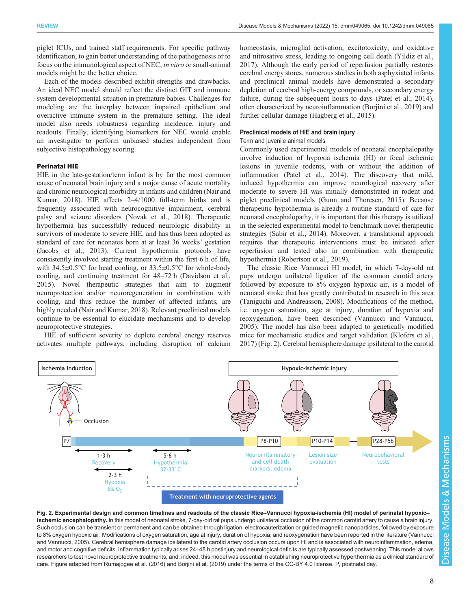piglet ICUs, and trained staff requirements. For specific pathway identification, to gain better understanding of the pathogenesis or to focus on the immunological aspect of NEC, in vitro or small-animal models might be the better choice.

Each of the models described exhibit strengths and drawbacks. An ideal NEC model should reflect the distinct GIT and immune system developmental situation in premature babies. Challenges for modeling are the interplay between impaired epithelium and overactive immune system in the premature setting. The ideal model also needs robustness regarding incidence, injury and readouts. Finally, identifying biomarkers for NEC would enable an investigator to perform unbiased studies independent from subjective histopathology scoring.

#### Perinatal HIE

HIE in the late-gestation/term infant is by far the most common cause of neonatal brain injury and a major cause of acute mortality and chronic neurological morbidity in infants and children [\(Nair and](#page-14-0) [Kumar, 2018\)](#page-14-0). HIE affects 2–4/1000 full-term births and is frequently associated with neurocognitive impairment, cerebral palsy and seizure disorders [\(Novak et al., 2018\)](#page-14-0). Therapeutic hypothermia has successfully reduced neurologic disability in survivors of moderate to severe HIE, and has thus been adopted as standard of care for neonates born at at least 36 weeks' gestation [\(Jacobs et al., 2013\)](#page-13-0). Current hypothermia protocols have consistently involved starting treatment within the first 6 h of life, with  $34.5\pm0.5^{\circ}$ C for head cooling, or  $33.5\pm0.5^{\circ}$ C for whole-body cooling, and continuing treatment for 48–72 h [\(Davidson et al.,](#page-12-0) [2015](#page-12-0)). Novel therapeutic strategies that aim to augment neuroprotection and/or neuroregeneration in combination with cooling, and thus reduce the number of affected infants, are highly needed ([Nair and Kumar, 2018](#page-14-0)). Relevant preclinical models continue to be essential to elucidate mechanisms and to develop neuroprotective strategies.

HIE of sufficient severity to deplete cerebral energy reserves activates multiple pathways, including disruption of calcium homeostasis, microglial activation, excitotoxicity, and oxidative and nitrosative stress, leading to ongoing cell death ([Yildiz et al.,](#page-15-0) [2017\)](#page-15-0). Although the early period of reperfusion partially restores cerebral energy stores, numerous studies in both asphyxiated infants and preclinical animal models have demonstrated a secondary depletion of cerebral high-energy compounds, or secondary energy failure, during the subsequent hours to days ([Patel et al., 2014\)](#page-14-0), often characterized by neuroinflammation [\(Borjini et al., 2019\)](#page-11-0) and further cellular damage ([Hagberg et al., 2015](#page-12-0)).

## Preclinical models of HIE and brain injury

Term and juvenile animal models

Commonly used experimental models of neonatal encephalopathy involve induction of hypoxia–ischemia (HI) or focal ischemic lesions in juvenile rodents, with or without the addition of inflammation [\(Patel et al., 2014\)](#page-14-0). The discovery that mild, induced hypothermia can improve neurological recovery after moderate to severe HI was initially demonstrated in rodent and piglet preclinical models [\(Gunn and Thoresen, 2015](#page-12-0)). Because therapeutic hypothermia is already a routine standard of care for neonatal encephalopathy, it is important that this therapy is utilized in the selected experimental model to benchmark novel therapeutic strategies [\(Sabir et al., 2014](#page-14-0)). Moreover, a translational approach requires that therapeutic interventions must be initiated after reperfusion and tested also in combination with therapeutic hypothermia [\(Robertson et al., 2019](#page-14-0)).

The classic Rice–Vannucci HI model, in which 7-day-old rat pups undergo unilateral ligation of the common carotid artery followed by exposure to 8% oxygen hypoxic air, is a model of neonatal stroke that has greatly contributed to research in this area [\(Taniguchi and Andreasson, 2008\)](#page-15-0). Modifications of the method, i.e. oxygen saturation, age at injury, duration of hypoxia and reoxygenation, have been described ([Vannucci and Vannucci,](#page-15-0) [2005\)](#page-15-0). The model has also been adapted to genetically modified mice for mechanistic studies and target validation ([Klofers et al.,](#page-13-0) [2017\)](#page-13-0) (Fig. 2). Cerebral hemisphere damage ipsilateral to the carotid



Fig. 2. Experimental design and common timelines and readouts of the classic Rice–Vannucci hypoxia-ischemia (HI) model of perinatal hypoxic– ischemic encephalopathy. In this model of neonatal stroke, 7-day-old rat pups undergo unilateral occlusion of the common carotid artery to cause a brain injury. Such occlusion can be transient or permanent and can be obtained through ligation, electrocauterization or guided magnetic nanoparticles, followed by exposure to 8% oxygen hypoxic air. Modifications of oxygen saturation, age at injury, duration of hypoxia, and reoxygenation have been reported in the literature [\(Vannucci](#page-15-0) [and Vannucci, 2005](#page-15-0)). Cerebral hemisphere damage ipsilateral to the carotid artery occlusion occurs upon HI and is associated with neuroinflammation, edema, and motor and cognitive deficits. Inflammation typically arises 24–48 h postinjury and neurological deficits are typically assessed postweaning. This model allows researchers to test novel neuroprotective treatments, and, indeed, this model was essential in establishing neuroprotective hyperthermia as a clinical standard of care. Figure adapted from [Rumajogee et al. \(2016\)](#page-14-0) and [Borjini et al. \(2019\)](#page-11-0) under the terms of the [CC-BY 4.0 license.](https://creativecommons.org/licenses/by/4.0/) P, postnatal day.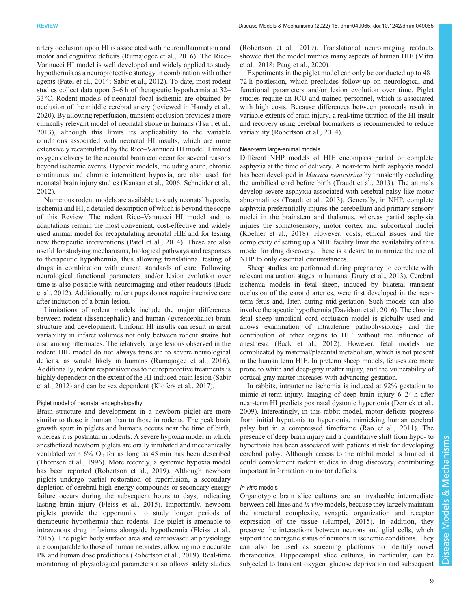artery occlusion upon HI is associated with neuroinflammation and motor and cognitive deficits ([Rumajogee et al., 2016\)](#page-14-0). The Rice– Vannucci HI model is well developed and widely applied to study hypothermia as a neuroprotective strategy in combination with other agents [\(Patel et al., 2014](#page-14-0); [Sabir et al., 2012\)](#page-14-0). To date, most rodent studies collect data upon 5–6 h of therapeutic hypothermia at 32– 33°C. Rodent models of neonatal focal ischemia are obtained by occlusion of the middle cerebral artery (reviewed in [Hamdy et al.,](#page-12-0) [2020](#page-12-0)). By allowing reperfusion, transient occlusion provides a more clinically relevant model of neonatal stroke in humans ([Tsuji et al.,](#page-15-0) [2013](#page-15-0)), although this limits its applicability to the variable conditions associated with neonatal HI insults, which are more extensively recapitulated by the Rice–Vannucci HI model. Limited oxygen delivery to the neonatal brain can occur for several reasons beyond ischemic events. Hypoxic models, including acute, chronic continuous and chronic intermittent hypoxia, are also used for neonatal brain injury studies [\(Kanaan et al., 2006](#page-13-0); [Schneider et al.,](#page-14-0) [2012](#page-14-0)).

Numerous rodent models are available to study neonatal hypoxia, ischemia and HI, a detailed description of which is beyond the scope of this Review. The rodent Rice–Vannucci HI model and its adaptations remain the most convenient, cost-effective and widely used animal model for recapitulating neonatal HIE and for testing new therapeutic interventions [\(Patel et al., 2014\)](#page-14-0). These are also useful for studying mechanisms, biological pathways and responses to therapeutic hypothermia, thus allowing translational testing of drugs in combination with current standards of care. Following neurological functional parameters and/or lesion evolution over time is also possible with neuroimaging and other readouts ([Back](#page-11-0) [et al., 2012](#page-11-0)). Additionally, rodent pups do not require intensive care after induction of a brain lesion.

Limitations of rodent models include the major differences between rodent (lissencephalic) and human (gyrencephalic) brain structure and development. Uniform HI insults can result in great variability in infarct volumes not only between rodent strains but also among littermates. The relatively large lesions observed in the rodent HIE model do not always translate to severe neurological deficits, as would likely in humans ([Rumajogee et al., 2016\)](#page-14-0). Additionally, rodent responsiveness to neuroprotective treatments is highly dependent on the extent of the HI-induced brain lesion [\(Sabir](#page-14-0) [et al., 2012\)](#page-14-0) and can be sex dependent [\(Klofers et al., 2017](#page-13-0)).

## Piglet model of neonatal encephalopathy

Brain structure and development in a newborn piglet are more similar to those in human than to those in rodents. The peak brain growth spurt in piglets and humans occurs near the time of birth, whereas it is postnatal in rodents. A severe hypoxia model in which anesthetized newborn piglets are orally intubated and mechanically ventilated with  $6\%$  O<sub>2</sub> for as long as 45 min has been described [\(Thoresen et al., 1996\)](#page-15-0). More recently, a systemic hypoxia model has been reported ([Robertson et al., 2019\)](#page-14-0). Although newborn piglets undergo partial restoration of reperfusion, a secondary depletion of cerebral high-energy compounds or secondary energy failure occurs during the subsequent hours to days, indicating lasting brain injury ([Fleiss et al., 2015](#page-12-0)). Importantly, newborn piglets provide the opportunity to study longer periods of therapeutic hypothermia than rodents. The piglet is amenable to intravenous drug infusions alongside hypothermia [\(Fleiss et al.,](#page-12-0) [2015](#page-12-0)). The piglet body surface area and cardiovascular physiology are comparable to those of human neonates, allowing more accurate PK and human dose predictions ([Robertson et al., 2019\)](#page-14-0). Real-time monitoring of physiological parameters also allows safety studies

[\(Robertson et al., 2019](#page-14-0)). Translational neuroimaging readouts showed that the model mimics many aspects of human HIE [\(Mitra](#page-13-0) [et al., 2018;](#page-13-0) [Pang et al., 2020\)](#page-14-0).

Experiments in the piglet model can only be conducted up to 48– 72 h postlesion, which precludes follow-up on neurological and functional parameters and/or lesion evolution over time. Piglet studies require an ICU and trained personnel, which is associated with high costs. Because differences between protocols result in variable extents of brain injury, a real-time titration of the HI insult and recovery using cerebral biomarkers is recommended to reduce variability [\(Robertson et al., 2014](#page-14-0)).

### Near-term large-animal models

Different NHP models of HIE encompass partial or complete asphyxia at the time of delivery. A near-term birth asphyxia model has been developed in Macaca nemestrina by transiently occluding the umbilical cord before birth ([Traudt et al., 2013](#page-15-0)). The animals develop severe asphyxia associated with cerebral palsy-like motor abnormalities ([Traudt et al., 2013](#page-15-0)). Generally, in NHP, complete asphyxia preferentially injures the cerebellum and primary sensory nuclei in the brainstem and thalamus, whereas partial asphyxia injures the somatosensory, motor cortex and subcortical nuclei [\(Koehler et al., 2018\)](#page-13-0). However, costs, ethical issues and the complexity of setting up a NHP facility limit the availability of this model for drug discovery. There is a desire to minimize the use of NHP to only essential circumstances.

Sheep studies are performed during pregnancy to correlate with relevant maturation stages in humans [\(Drury et al., 2013\)](#page-12-0). Cerebral ischemia models in fetal sheep, induced by bilateral transient occlusion of the carotid arteries, were first developed in the nearterm fetus and, later, during mid-gestation. Such models can also involve therapeutic hypothermia [\(Davidson et al., 2016\)](#page-12-0). The chronic fetal sheep umbilical cord occlusion model is globally used and allows examination of intrauterine pathophysiology and the contribution of other organs to HIE without the influence of anesthesia [\(Back et al., 2012](#page-11-0)). However, fetal models are complicated by maternal/placental metabolism, which is not present in the human term HIE. In preterm sheep models, fetuses are more prone to white and deep-gray matter injury, and the vulnerability of cortical gray matter increases with advancing gestation.

In rabbits, intrauterine ischemia is induced at 92% gestation to mimic at-term injury. Imaging of deep brain injury 6–24 h after near-term HI predicts postnatal dystonic hypertonia [\(Derrick et al.,](#page-12-0) [2009\)](#page-12-0). Interestingly, in this rabbit model, motor deficits progress from initial hypotonia to hypertonia, mimicking human cerebral palsy but in a compressed timeframe [\(Rao et al., 2011\)](#page-14-0). The presence of deep brain injury and a quantitative shift from hypo- to hypertonia has been associated with patients at risk for developing cerebral palsy. Although access to the rabbit model is limited, it could complement rodent studies in drug discovery, contributing important information on motor deficits.

#### In vitro models

Organotypic brain slice cultures are an invaluable intermediate between cell lines and in vivo models, because they largely maintain the structural complexity, synaptic organization and receptor expression of the tissue ([Humpel, 2015](#page-13-0)). In addition, they preserve the interactions between neurons and glial cells, which support the energetic status of neurons in ischemic conditions. They can also be used as screening platforms to identify novel therapeutics. Hippocampal slice cultures, in particular, can be subjected to transient oxygen–glucose deprivation and subsequent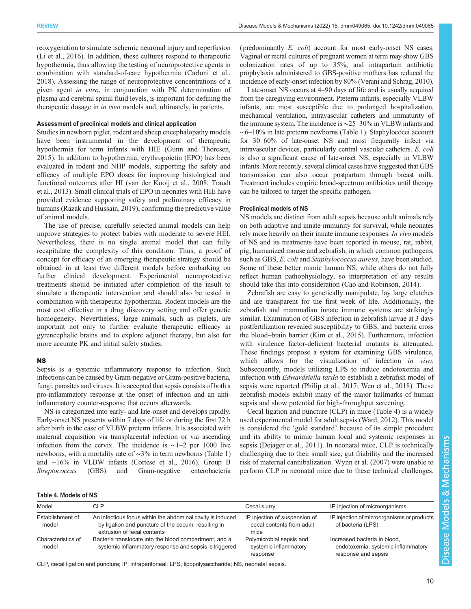<span id="page-9-0"></span>reoxygenation to simulate ischemic neuronal injury and reperfusion [\(Li et al., 2016](#page-13-0)). In addition, these cultures respond to therapeutic hypothermia, thus allowing the testing of neuroprotective agents in combination with standard-of-care hypothermia [\(Carloni et al.,](#page-11-0) [2018](#page-11-0)). Assessing the range of neuroprotective concentrations of a given agent in vitro, in conjunction with PK determination of plasma and cerebral spinal fluid levels, is important for defining the therapeutic dosage in in vivo models and, ultimately, in patients.

## Assessment of preclinical models and clinical application

Studies in newborn piglet, rodent and sheep encephalopathy models have been instrumental in the development of therapeutic hypothermia for term infants with HIE [\(Gunn and Thoresen,](#page-12-0) [2015](#page-12-0)). In addition to hypothermia, erythropoietin (EPO) has been evaluated in rodent and NHP models, supporting the safety and efficacy of multiple EPO doses for improving histological and functional outcomes after HI ([van der Kooij et al., 2008](#page-15-0); [Traudt](#page-15-0) [et al., 2013\)](#page-15-0). Small clinical trials of EPO in neonates with HIE have provided evidence supporting safety and preliminary efficacy in humans [\(Razak and Hussain, 2019\)](#page-14-0), confirming the predictive value of animal models.

The use of precise, carefully selected animal models can help improve strategies to protect babies with moderate to severe HEI. Nevertheless, there is no single animal model that can fully recapitulate the complexity of this condition. Thus, a proof of concept for efficacy of an emerging therapeutic strategy should be obtained in at least two different models before embarking on further clinical development. Experimental neuroprotective treatments should be initiated after completion of the insult to simulate a therapeutic intervention and should also be tested in combination with therapeutic hypothermia. Rodent models are the most cost effective in a drug discovery setting and offer genetic homogeneity. Nevertheless, large animals, such as piglets, are important not only to further evaluate therapeutic efficacy in gyrencephalic brains and to explore adjunct therapy, but also for more accurate PK and initial safety studies.

#### NS

Sepsis is a systemic inflammatory response to infection. Such infections can be caused by Gram-negative or Gram-positive bacteria, fungi, parasites and viruses. It is accepted that sepsis consists of both a pro-inflammatory response at the onset of infection and an antiinflammatory counter-response that occurs afterwards.

NS is categorized into early- and late-onset and develops rapidly. Early-onset NS presents within 7 days of life or during the first 72 h after birth in the case of VLBW preterm infants. It is associated with maternal acquisition via transplacental infection or via ascending infection from the cervix. The incidence is ∼1–2 per 1000 live newborns, with a mortality rate of ∼3% in term newborns ([Table 1](#page-1-0)) and ∼16% in VLBW infants ([Cortese et al., 2016](#page-12-0)). Group B Streptococcus (GBS) and Gram-negative enterobacteria

(predominantly E. coli) account for most early-onset NS cases. Vaginal or rectal cultures of pregnant women at term may show GBS colonization rates of up to 35%, and intrapartum antibiotic prophylaxis administered to GBS-positive mothers has reduced the incidence of early-onset infection by 80% ([Verani and Schrag, 2010\)](#page-15-0).

Late-onset NS occurs at 4–90 days of life and is usually acquired from the caregiving environment. Preterm infants, especially VLBW infants, are most susceptible due to prolonged hospitalization, mechanical ventilation, intravascular catheters and immaturity of the immune system. The incidence is∼25–30% in VLBW infants and ∼6–10% in late preterm newborns ([Table 1\)](#page-1-0). Staphylococci account for 30–60% of late-onset NS and most frequently infect via intravascular devices, particularly central vascular catheters. E. coli is also a significant cause of late-onset NS, especially in VLBW infants. More recently, several clinical cases have suggested that GBS transmission can also occur postpartum through breast milk. Treatment includes empiric broad-spectrum antibiotics until therapy can be tailored to target the specific pathogen.

#### Preclinical models of NS

NS models are distinct from adult sepsis because adult animals rely on both adaptive and innate immunity for survival, while neonates rely more heavily on their innate immune responses. In vivo models of NS and its treatments have been reported in mouse, rat, rabbit, pig, humanized mouse and zebrafish, in which common pathogens, such as GBS, *E. coli* and *Staphylococcus aureus*, have been studied. Some of these better mimic human NS, while others do not fully reflect human pathophysiology, so interpretation of any results should take this into consideration ([Cao and Robinson, 2014](#page-11-0)).

Zebrafish are easy to genetically manipulate, lay large clutches and are transparent for the first week of life. Additionally, the zebrafish and mammalian innate immune systems are strikingly similar. Examination of GBS infection in zebrafish larvae at 3 days postfertilization revealed susceptibility to GBS, and bacteria cross the blood–brain barrier [\(Kim et al., 2015\)](#page-13-0). Furthermore, infection with virulence factor-deficient bacterial mutants is attenuated. These findings propose a system for examining GBS virulence, which allows for the visualization of infection in vivo. Subsequently, models utilizing LPS to induce endotoxemia and infection with Edwardsiella tarda to establish a zebrafish model of sepsis were reported [\(Philip et al., 2017;](#page-14-0) [Wen et al., 2018](#page-15-0)). These zebrafish models exhibit many of the major hallmarks of human sepsis and show potential for high-throughput screening.

Cecal ligation and puncture (CLP) in mice (Table 4) is a widely used experimental model for adult sepsis ([Ward, 2012\)](#page-15-0). This model is considered the 'gold standard' because of its simple procedure and its ability to mimic human local and systemic responses in sepsis [\(Dejager et al., 2011](#page-12-0)). In neonatal mice, CLP is technically challenging due to their small size, gut friability and the increased risk of maternal cannibalization. [Wynn et al. \(2007\)](#page-15-0) were unable to perform CLP in neonatal mice due to these technical challenges.

## Table 4. Models of NS

| Model                       | CLP                                                                                                                                              | Cecal slurry                                                       | IP injection of microorganisms                                                            |
|-----------------------------|--------------------------------------------------------------------------------------------------------------------------------------------------|--------------------------------------------------------------------|-------------------------------------------------------------------------------------------|
| Establishment of<br>model   | An infectious focus within the abdominal cavity is induced<br>by ligation and puncture of the cecum, resulting in<br>extrusion of fecal contents | IP injection of suspension of<br>cecal contents from adult<br>mice | IP injection of microorganisms or products<br>of bacteria (LPS)                           |
| Characteristics of<br>model | Bacteria translocate into the blood compartment, and a<br>systemic inflammatory response and sepsis is triggered                                 | Polymicrobial sepsis and<br>systemic inflammatory<br>response      | Increased bacteria in blood,<br>endotoxemia, systemic inflammatory<br>response and sepsis |

CLP, cecal ligation and puncture; IP, intraperitoneal; LPS, lipopolysaccharide; NS, neonatal sepsis.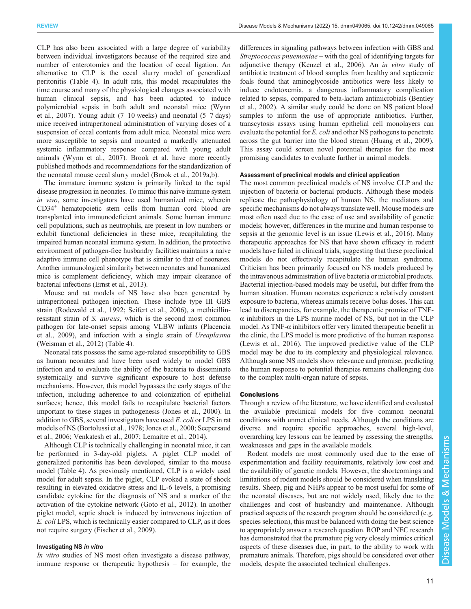CLP has also been associated with a large degree of variability between individual investigators because of the required size and number of enterotomies and the location of cecal ligation. An alternative to CLP is the cecal slurry model of generalized peritonitis ([Table 4](#page-9-0)). In adult rats, this model recapitulates the time course and many of the physiological changes associated with human clinical sepsis, and has been adapted to induce polymicrobial sepsis in both adult and neonatal mice ([Wynn](#page-15-0) [et al., 2007](#page-15-0)). Young adult  $(7-10$  weeks) and neonatal  $(5-7$  days) mice received intraperitoneal administration of varying doses of a suspension of cecal contents from adult mice. Neonatal mice were more susceptible to sepsis and mounted a markedly attenuated systemic inflammatory response compared with young adult animals [\(Wynn et al., 2007\)](#page-15-0). Brook et al. have more recently published methods and recommendations for the standardization of the neonatal mouse cecal slurry model ([Brook et al., 2019a](#page-11-0),b).

The immature immune system is primarily linked to the rapid disease progression in neonates. To mimic this naive immune system in vivo, some investigators have used humanized mice, wherein CD34+ hematopoietic stem cells from human cord blood are transplanted into immunodeficient animals. Some human immune cell populations, such as neutrophils, are present in low numbers or exhibit functional deficiencies in these mice, recapitulating the impaired human neonatal immune system. In addition, the protective environment of pathogen-free husbandry facilities maintains a naive adaptive immune cell phenotype that is similar to that of neonates. Another immunological similarity between neonates and humanized mice is complement deficiency, which may impair clearance of bacterial infections ([Ernst et al., 2013](#page-12-0)).

Mouse and rat models of NS have also been generated by intraperitoneal pathogen injection. These include type III GBS strain [\(Rodewald et al., 1992; Seifert et al., 2006\)](#page-14-0), a methicillinresistant strain of S. aureus, which is the second most common pathogen for late-onset sepsis among VLBW infants [\(Placencia](#page-14-0) [et al., 2009](#page-14-0)), and infection with a single strain of Ureaplasma [\(Weisman et al., 2012\)](#page-15-0) [\(Table 4\)](#page-9-0).

Neonatal rats possess the same age-related susceptibility to GBS as human neonates and have been used widely to model GBS infection and to evaluate the ability of the bacteria to disseminate systemically and survive significant exposure to host defense mechanisms. However, this model bypasses the early stages of the infection, including adherence to and colonization of epithelial surfaces; hence, this model fails to recapitulate bacterial factors important to these stages in pathogenesis [\(Jones et al., 2000](#page-13-0)). In addition to GBS, several investigators have used E. coli or LPS in rat models of NS ([Bortolussi et al., 1978;](#page-11-0) [Jones et al., 2000;](#page-13-0) [Seepersaud](#page-14-0) [et al., 2006;](#page-14-0) [Venkatesh et al., 2007;](#page-15-0) [Lemaitre et al., 2014\)](#page-13-0).

Although CLP is technically challenging in neonatal mice, it can be performed in 3-day-old piglets. A piglet CLP model of generalized peritonitis has been developed, similar to the mouse model ([Table 4\)](#page-9-0). As previously mentioned, CLP is a widely used model for adult sepsis. In the piglet, CLP evoked a state of shock resulting in elevated oxidative stress and IL-6 levels, a promising candidate cytokine for the diagnosis of NS and a marker of the activation of the cytokine network [\(Goto et al., 2012](#page-12-0)). In another piglet model, septic shock is induced by intravenous injection of E. coli LPS, which is technically easier compared to CLP, as it does not require surgery ([Fischer et al., 2009](#page-12-0)).

# Investigating NS in vitro

In vitro studies of NS most often investigate a disease pathway, immune response or therapeutic hypothesis – for example, the differences in signaling pathways between infection with GBS and Streptococcus pnuemoniae – with the goal of identifying targets for adjunctive therapy ([Kenzel et al., 2006](#page-13-0)). An in vitro study of antibiotic treatment of blood samples from healthy and septicemic foals found that aminoglycoside antibiotics were less likely to induce endotoxemia, a dangerous inflammatory complication related to sepsis, compared to beta-lactam antimicrobials ([Bentley](#page-11-0) [et al., 2002\)](#page-11-0). A similar study could be done on NS patient blood samples to inform the use of appropriate antibiotics. Further, transcytosis assays using human epithelial cell monolayers can evaluate the potential for E. coli and other NS pathogens to penetrate across the gut barrier into the blood stream ([Huang et al., 2009\)](#page-13-0). This assay could screen novel potential therapies for the most promising candidates to evaluate further in animal models.

#### Assessment of preclinical models and clinical application

The most common preclinical models of NS involve CLP and the injection of bacteria or bacterial products. Although these models replicate the pathophysiology of human NS, the mediators and specific mechanisms do not always translate well. Mouse models are most often used due to the ease of use and availability of genetic models; however, differences in the murine and human response to sepsis at the genomic level is an issue [\(Lewis et al., 2016](#page-13-0)). Many therapeutic approaches for NS that have shown efficacy in rodent models have failed in clinical trials, suggesting that these preclinical models do not effectively recapitulate the human syndrome. Criticism has been primarily focused on NS models produced by the intravenous administration of live bacteria or microbial products. Bacterial injection-based models may be useful, but differ from the human situation. Human neonates experience a relatively constant exposure to bacteria, whereas animals receive bolus doses. This can lead to discrepancies, for example, the therapeutic promise of TNF- $\alpha$  inhibitors in the LPS murine model of NS, but not in the CLP model. As  $TNF-\alpha$  inhibitors offer very limited therapeutic benefit in the clinic, the LPS model is more predictive of the human response [\(Lewis et al., 2016\)](#page-13-0). The improved predictive value of the CLP model may be due to its complexity and physiological relevance. Although some NS models show relevance and promise, predicting the human response to potential therapies remains challenging due to the complex multi-organ nature of sepsis.

## Conclusions

Through a review of the literature, we have identified and evaluated the available preclinical models for five common neonatal conditions with unmet clinical needs. Although the conditions are diverse and require specific approaches, several high-level, overarching key lessons can be learned by assessing the strengths, weaknesses and gaps in the available models.

Rodent models are most commonly used due to the ease of experimentation and facility requirements, relatively low cost and the availability of genetic models. However, the shortcomings and limitations of rodent models should be considered when translating results. Sheep, pig and NHPs appear to be most useful for some of the neonatal diseases, but are not widely used, likely due to the challenges and cost of husbandry and maintenance. Although practical aspects of the research program should be considered (e.g. species selection), this must be balanced with doing the best science to appropriately answer a research question. ROP and NEC research has demonstrated that the premature pig very closely mimics critical aspects of these diseases due, in part, to the ability to work with premature animals. Therefore, pigs should be considered over other models, despite the associated technical challenges.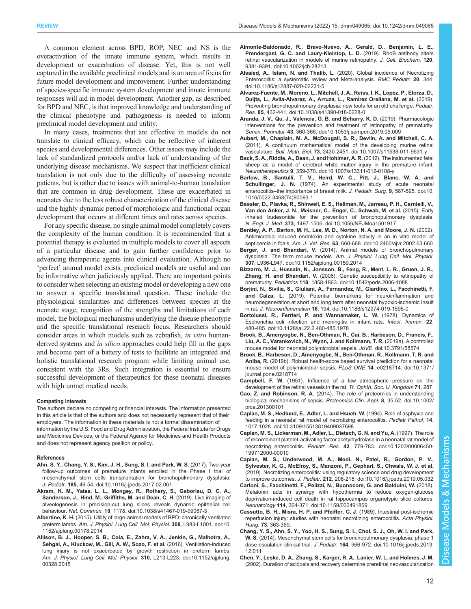<span id="page-11-0"></span>A common element across BPD, ROP, NEC and NS is the overactivation of the innate immune system, which results in development or exacerbation of disease. Yet, this is not well captured in the available preclinical models and is an area of focus for future model development and improvement. Further understanding of species-specific immune system development and innate immune responses will aid in model development. Another gap, as described for BPD and NEC, is that improved knowledge and understanding of the clinical phenotype and pathogenesis is needed to inform preclinical model development and utility.

In many cases, treatments that are effective in models do not translate to clinical efficacy, which can be reflective of inherent species and developmental differences. Other issues may include the lack of standardized protocols and/or lack of understanding of the underlying disease mechanisms. We suspect that inefficient clinical translation is not only due to the difficulty of assessing neonate patients, but is rather due to issues with animal-to-human translation that are common in drug development. These are exacerbated in neonates due to the less robust characterization of the clinical disease and the highly dynamic period of morphologic and functional organ development that occurs at different times and rates across species.

For any specific disease, no single animal model completely covers the complexity of the human condition. It is recommended that a potential therapy is evaluated in multiple models to cover all aspects of a particular disease and to gain further confidence prior to advancing therapeutic agents into clinical evaluation. Although no 'perfect' animal model exists, preclinical models are useful and can be informative when judiciously applied. There are important points to consider when selecting an existing model or developing a new one to answer a specific translational question. These include the physiological similarities and differences between species at the neonate stage, recognition of the strengths and limitations of each model, the biological mechanisms underlying the disease phenotype and the specific translational research focus. Researchers should consider areas in which models such as zebrafish, in vitro humanderived systems and *in silico* approaches could help fill in the gaps and become part of a battery of tests to facilitate an integrated and holistic translational research program while limiting animal use, consistent with the 3Rs. Such integration is essential to ensure successful development of therapeutics for these neonatal diseases with high unmet medical needs.

#### Competing interests

The authors declare no competing or financial interests. The information presented in this article is that of the authors and does not necessarily represent that of their employers. The information in these materials is not a formal dissemination of information by the U.S. Food and Drug Administration, the Federal Institute for Drugs and Medicines Devices, or the Federal Agency for Medicines and Health Products and does not represent agency position or policy.

#### References

- [Ahn, S. Y., Chang, Y. S., Kim, J. H., Sung, S. I. and Park, W. S.](https://doi.org/10.1016/j.jpeds.2017.02.061) (2017). Two-year [follow-up outcomes of premature infants enrolled in the Phase I trial of](https://doi.org/10.1016/j.jpeds.2017.02.061) [mesenchymal stem cells transplantation for bronchopulmonary dysplasia.](https://doi.org/10.1016/j.jpeds.2017.02.061) J. Pediatr. 185[, 49-54. doi:10.1016/j.jpeds.2017.02.061](https://doi.org/10.1016/j.jpeds.2017.02.061)
- [Akram, K. M., Yates, L. L., Mongey, R., Rothery, S., Gaboriau, D. C. A.,](https://doi.org/10.1038/s41467-019-09067-3) [Sanderson, J., Hind, M., Griffiths, M. and Dean, C. H.](https://doi.org/10.1038/s41467-019-09067-3) (2019). Live imaging of [alveologenesis in precision-cut lung slices reveals dynamic epithelial cell](https://doi.org/10.1038/s41467-019-09067-3) behaviour. Nat. Commun. 10[, 1178. doi:10.1038/s41467-019-09067-3](https://doi.org/10.1038/s41467-019-09067-3)
- Albertine, K. H. [\(2015\). Utility of large-animal models of BPD: chronically ventilated](https://doi.org/10.1152/ajplung.00178.2014) preterm lambs. [Am. J. Physiol. Lung Cell. Mol. Physiol.](https://doi.org/10.1152/ajplung.00178.2014) 308, L983-L1001. doi:10. [1152/ajplung.00178.2014](https://doi.org/10.1152/ajplung.00178.2014)
- [Allison, B. J., Hooper, S. B., Coia, E., Zahra, V. A., Jenkin, G., Malhotra, A.,](https://doi.org/10.1152/ajplung.00328.2015) [Sehgal, A., Kluckow, M., Gill, A. W., Sozo, F. et al.](https://doi.org/10.1152/ajplung.00328.2015) (2016). Ventilation-induced [lung injury is not exacerbated by growth restriction in preterm lambs.](https://doi.org/10.1152/ajplung.00328.2015) [Am. J. Physiol. Lung Cell. Mol. Physiol.](https://doi.org/10.1152/ajplung.00328.2015) 310, L213-L223. doi:10.1152/ajplung. [00328.2015](https://doi.org/10.1152/ajplung.00328.2015)
- [Almonte-Baldonado, R., Bravo-Nuevo, A., Gerald, D., Benjamin, L. E.,](https://doi.org/10.1002/jcb.28213) [Prendergast, G. C. and Laury-Kleintop, L. D.](https://doi.org/10.1002/jcb.28213) (2019). RhoB antibody alters [retinal vascularization in models of murine retinopathy.](https://doi.org/10.1002/jcb.28213) J. Cell. Biochem. 120, [9381-9391. doi:10.1002/jcb.28213](https://doi.org/10.1002/jcb.28213)
- Alsaied, A., Islam, N. and Thalib, L. [\(2020\). Global incidence of Necrotizing](https://doi.org/10.1186/s12887-020-02231-5) [Enterocolitis: a systematic review and Meta-analysis.](https://doi.org/10.1186/s12887-020-02231-5) BMC Pediatr. 20, 344. [doi:10.1186/s12887-020-02231-5](https://doi.org/10.1186/s12887-020-02231-5)
- [Alvarez-Fuente, M., Moreno, L., Mitchell, J. A., Reiss, I. K., Lopez, P., Elorza, D.,](https://doi.org/10.1038/s41390-018-0228-0) [Duijts, L., Avila-Alvarez, A., Arruza, L., Ramirez Orellana, M. et al.](https://doi.org/10.1038/s41390-018-0228-0) (2019). [Preventing bronchopulmonary dysplasia: new tools for an old challenge.](https://doi.org/10.1038/s41390-018-0228-0) Pediatr. Res. 85[, 432-441. doi:10.1038/s41390-018-0228-0](https://doi.org/10.1038/s41390-018-0228-0)
- [Aranda, J. V., Qu, J., Valencia, G. B. and Beharry, K. D.](https://doi.org/10.1053/j.semperi.2019.05.009) (2019). Pharmacologic [interventions for the prevention and treatment of retinopathy of prematurity.](https://doi.org/10.1053/j.semperi.2019.05.009) Semin. Perinatol. 43[, 360-366. doi:10.1053/j.semperi.2019.05.009](https://doi.org/10.1053/j.semperi.2019.05.009)
- [Aubert, M., Chaplain, M. A., McDougall, S. R., Devlin, A. and Mitchell, C. A.](https://doi.org/10.1007/s11538-011-9631-y) [\(2011\). A continuum mathematical model of the developing murine retinal](https://doi.org/10.1007/s11538-011-9631-y) vasculature. Bull. Math. Biol. 73[, 2430-2451. doi:10.1007/s11538-011-9631-y](https://doi.org/10.1007/s11538-011-9631-y)
- [Back, S. A., Riddle, A., Dean, J. and Hohimer, A. R.](https://doi.org/10.1007/s13311-012-0108-y) (2012). The instrumented fetal [sheep as a model of cerebral white matter injury in the premature infant.](https://doi.org/10.1007/s13311-012-0108-y) Neurotherapeutics 9[, 359-370. doi:10.1007/s13311-012-0108-y](https://doi.org/10.1007/s13311-012-0108-y)
- [Barlow, B., Santulli, T. V., Heird, W. C., Pitt, J., Blanc, W. A. and](https://doi.org/10.1016/0022-3468(74)90093-1) Schullinger, J. N. [\(1974\). An experimental study of acute neonatal](https://doi.org/10.1016/0022-3468(74)90093-1) enterocolitis–[the importance of breast milk.](https://doi.org/10.1016/0022-3468(74)90093-1) J. Pediatr. Surg. 9, 587-595. doi:10. [1016/0022-3468\(74\)90093-1](https://doi.org/10.1016/0022-3468(74)90093-1)
- [Bassler, D., Plavka, R., Shinwell, E. S., Hallman, M., Jarreau, P. H., Carnielli, V.,](https://doi.org/10.1056/NEJMoa1501917) [Van den Anker, J. N., Meisner, C., Engel, C., Schwab, M. et al.](https://doi.org/10.1056/NEJMoa1501917) (2015). Early [inhaled budesonide for the prevention of bronchopulmonary dysplasia.](https://doi.org/10.1056/NEJMoa1501917) N. Engl. J. Med. 373[, 1497-1506. doi:10.1056/NEJMoa1501917](https://doi.org/10.1056/NEJMoa1501917)
- [Bentley, A. P., Barton, M. H., Lee, M. D., Norton, N. A. and Moore, J. N.](https://doi.org/10.2460/ajvr.2002.63.660) (2002). [Antimicrobial-induced endotoxin and cytokine activity in an in vitro model of](https://doi.org/10.2460/ajvr.2002.63.660) septicemia in foals. Am. J. Vet. Res. 63[, 660-668. doi:10.2460/ajvr.2002.63.660](https://doi.org/10.2460/ajvr.2002.63.660)
- Berger, J. and Bhandari, V. [\(2014\). Animal models of bronchopulmonary](https://doi.org/10.1152/ajplung.00159.2014) dysplasia. The term mouse models. [Am. J. Physiol. Lung Cell. Mol. Physiol.](https://doi.org/10.1152/ajplung.00159.2014) 307[, L936-L947. doi:10.1152/ajplung.00159.2014](https://doi.org/10.1152/ajplung.00159.2014)
- [Bizzarro, M. J., Hussain, N., Jonsson, B., Feng, R., Ment, L. R., Gruen, J. R.,](https://doi.org/10.1542/peds.2006-1088) Zhang, H. and Bhandari, V. [\(2006\). Genetic susceptibility to retinopathy of](https://doi.org/10.1542/peds.2006-1088) prematurity. Pediatrics 118[, 1858-1863. doi:10.1542/peds.2006-1088](https://doi.org/10.1542/peds.2006-1088)
- [Borjini, N., Sivilia, S., Giuliani, A., Fernandez, M., Giardino, L., Facchinetti, F.](https://doi.org/10.1186/s12974-019-1595-0) and Calza, L. [\(2019\). Potential biomarkers for neuroinflammation and](https://doi.org/10.1186/s12974-019-1595-0) [neurodegeneration at short and long term after neonatal hypoxic-ischemic insult](https://doi.org/10.1186/s12974-019-1595-0) in rat. J. Neuroinflammation 16[, 194. doi:10.1186/s12974-019-1595-0](https://doi.org/10.1186/s12974-019-1595-0)
- [Bortolussi, R., Ferrieri, P. and Wannamaker, L. W.](https://doi.org/10.1128/iai.22.2.480-485.1978) (1978). Dynamics of [Escherichia coli infection and meningitis in infant rats.](https://doi.org/10.1128/iai.22.2.480-485.1978) Infect. Immun. 22, [480-485. doi:10.1128/iai.22.2.480-485.1978](https://doi.org/10.1128/iai.22.2.480-485.1978)
- [Brook, B., Amenyogbe, N., Ben-Othman, R., Cai, B., Harbeson, D., Francis, F.,](https://doi.org/10.3791/58574) [Liu, A. C., Varankovich, N., Wynn, J. and Kollmann, T. R.](https://doi.org/10.3791/58574) (2019a). A controlled [mouse model for neonatal polymicrobial sepsis.](https://doi.org/10.3791/58574) JoVE. doi:10.3791/58574
- [Brook, B., Harbeson, D., Amenyogbe, N., Ben-Othman, R., Kollmann, T. R. and](https://doi.org/10.1371/journal.pone.0218714) Aniba, R. [\(2019b\). Robust health-score based survival prediction for a neonatal](https://doi.org/10.1371/journal.pone.0218714) [mouse model of polymicrobial sepsis.](https://doi.org/10.1371/journal.pone.0218714) PLoS ONE 14, e0218714. doi:10.1371/ [journal.pone.0218714](https://doi.org/10.1371/journal.pone.0218714)
- Campbell, F. W. (1951). Influence of a low atmospheric pressure on the development of the retinal vessels in the rat. Tr. Ophth. Soc. U. Kingdom 71, 287.
- Cao, Z. and Robinson, R. A. [\(2014\). The role of proteomics in understanding](https://doi.org/10.1002/prca.201300101) [biological mechanisms of sepsis.](https://doi.org/10.1002/prca.201300101) Proteomics Clin. Appl. 8, 35-52. doi:10.1002/ [prca.201300101](https://doi.org/10.1002/prca.201300101)
- [Caplan, M. S., Hedlund, E., Adler, L. and Hsueh, W.](https://doi.org/10.3109/15513819409037698) (1994). Role of asphyxia and [feeding in a neonatal rat model of necrotizing enterocolitis.](https://doi.org/10.3109/15513819409037698) Pediatr Pathol. 14, [1017-1028. doi:10.3109/15513819409037698](https://doi.org/10.3109/15513819409037698)
- [Caplan, M. S., Lickerman, M., Adler, L., Dietsch, G. N. and Yu, A.](https://doi.org/10.1203/00006450-199712000-00010) (1997). The role [of recombinant platelet-activating factor acetylhydrolase in a neonatal rat model of](https://doi.org/10.1203/00006450-199712000-00010) necrotizing enterocolitis. Pediatr. Res. 42[, 779-783. doi:10.1203/00006450-](https://doi.org/10.1203/00006450-199712000-00010) [199712000-00010](https://doi.org/10.1203/00006450-199712000-00010)
- [Caplan, M. S., Underwood, M. A., Modi, N., Patel, R., Gordon, P. V.,](https://doi.org/10.1016/j.jpeds.2019.05.032) [Sylvester, K. G., McElroy, S., Manzoni, P., Gephart, S., Chwals, W. J. et al.](https://doi.org/10.1016/j.jpeds.2019.05.032) [\(2019\). Necrotizing enterocolitis: using regulatory science and drug development](https://doi.org/10.1016/j.jpeds.2019.05.032) to improve outcomes. J. Pediatr. 212[, 208-215. doi:10.1016/j.jpeds.2019.05.032](https://doi.org/10.1016/j.jpeds.2019.05.032)
- [Carloni, S., Facchinetti, F., Pelizzi, N., Buonocore, G. and Balduini, W.](https://doi.org/10.1159/000491859) (2018). [Melatonin acts in synergy with hypothermia to reduce oxygen-glucose](https://doi.org/10.1159/000491859) [deprivation-induced cell death in rat hippocampus organotypic slice cultures.](https://doi.org/10.1159/000491859) Neonatology 114[, 364-371. doi:10.1159/000491859](https://doi.org/10.1159/000491859)
- Cassutto, B. H., Misra, H. P. and Pfeiffer, C. J. (1989). Intestinal post-ischemic reperfusion injury: studies with neonatal necrotizing enterocolitis. Acta Physiol. Hung. 73, 363-369.
- [Chang, Y. S., Ahn, S. Y., Yoo, H. S., Sung, S. I., Choi, S. J., Oh, W. I. and Park,](https://doi.org/10.1016/j.jpeds.2013.12.011) W. S. [\(2014\). Mesenchymal stem cells for bronchopulmonary dysplasia: phase 1](https://doi.org/10.1016/j.jpeds.2013.12.011) dose-escalation clinical trial. J. Pediatr. 164[, 966-972. doi:10.1016/j.jpeds.2013.](https://doi.org/10.1016/j.jpeds.2013.12.011) [12.011](https://doi.org/10.1016/j.jpeds.2013.12.011)
- [Chen, Y., Leske, D. A., Zhang, S., Karger, R. A., Lanier, W. L. and Holmes, J. M.](https://doi.org/10.1076/ceyr.24.4.281.8410) [\(2002\). Duration of acidosis and recovery determine preretinal neovascularization](https://doi.org/10.1076/ceyr.24.4.281.8410)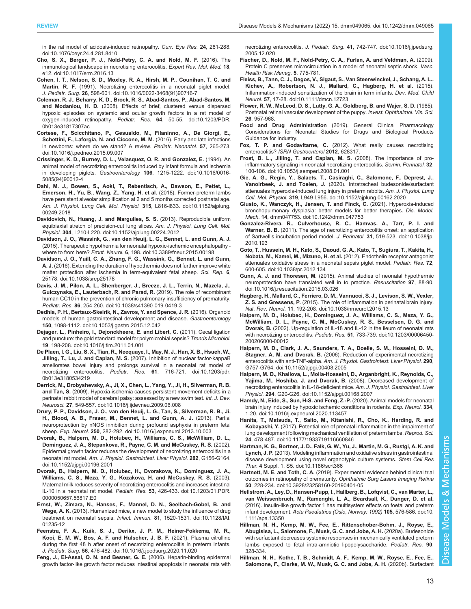<span id="page-12-0"></span>[in the rat model of acidosis-induced retinopathy.](https://doi.org/10.1076/ceyr.24.4.281.8410) Curr. Eye Res. 24, 281-288. [doi:10.1076/ceyr.24.4.281.8410](https://doi.org/10.1076/ceyr.24.4.281.8410)

- [Cho, S. X., Berger, P. J., Nold-Petry, C. A. and Nold, M. F.](https://doi.org/10.1017/erm.2016.13) (2016). The [immunological landscape in necrotising enterocolitis.](https://doi.org/10.1017/erm.2016.13) Expert Rev. Mol. Med. 18, [e12. doi:10.1017/erm.2016.13](https://doi.org/10.1017/erm.2016.13)
- [Cohen, I. T., Nelson, S. D., Moxley, R. A., Hirsh, M. P., Counihan, T. C. and](https://doi.org/10.1016/0022-3468(91)90716-7) Martin, R. F. [\(1991\). Necrotizing enterocolitis in a neonatal piglet model.](https://doi.org/10.1016/0022-3468(91)90716-7) J. Pediatr. Surg. 26[, 598-601. doi:10.1016/0022-3468\(91\)90716-7](https://doi.org/10.1016/0022-3468(91)90716-7)
- [Coleman, R. J., Beharry, K. D., Brock, R. S., Abad-Santos, P., Abad-Santos, M.](https://doi.org/10.1203/PDR.0b013e31817307ac) and Modanlou, H. D. [\(2008\). Effects of brief, clustered versus dispersed](https://doi.org/10.1203/PDR.0b013e31817307ac) [hypoxic episodes on systemic and ocular growth factors in a rat model of](https://doi.org/10.1203/PDR.0b013e31817307ac) [oxygen-induced retinopathy.](https://doi.org/10.1203/PDR.0b013e31817307ac) Pediatr. Res. 64, 50-55. doi:10.1203/PDR. [0b013e31817307ac](https://doi.org/10.1203/PDR.0b013e31817307ac)
- [Cortese, F., Scicchitano, P., Gesualdo, M., Filaninno, A., De Giorgi, E.,](https://doi.org/10.1016/j.pedneo.2015.09.007) [Schettini, F., Laforgia, N. and Ciccone, M. M.](https://doi.org/10.1016/j.pedneo.2015.09.007) (2016). Early and late infections [in newborns: where do we stand? A review.](https://doi.org/10.1016/j.pedneo.2015.09.007) Pediatr. Neonatol. 57, 265-273. [doi:10.1016/j.pedneo.2015.09.007](https://doi.org/10.1016/j.pedneo.2015.09.007)
- [Crissinger, K. D., Burney, D. L., Velasquez, O. R. and Gonzalez, E.](https://doi.org/10.1016/0016-5085(94)90012-4) (1994). An [animal model of necrotizing enterocolitis induced by infant formula and ischemia](https://doi.org/10.1016/0016-5085(94)90012-4) in developing piglets. Gastroenterology 106[, 1215-1222. doi:10.1016/0016-](https://doi.org/10.1016/0016-5085(94)90012-4) [5085\(94\)90012-4](https://doi.org/10.1016/0016-5085(94)90012-4)
- [Dahl, M. J., Bowen, S., Aoki, T., Rebentisch, A., Dawson, E., Pettet, L.,](https://doi.org/10.1152/ajplung.00249.2018) [Emerson, H., Yu, B., Wang, Z., Yang, H. et al.](https://doi.org/10.1152/ajplung.00249.2018) (2018). Former-preterm lambs [have persistent alveolar simplification at 2 and 5 months corrected postnatal age.](https://doi.org/10.1152/ajplung.00249.2018) [Am. J. Physiol. Lung Cell. Mol. Physiol.](https://doi.org/10.1152/ajplung.00249.2018) 315, L816-1833. doi:10.1152/ajplung. [00249.2018](https://doi.org/10.1152/ajplung.00249.2018)
- [Davidovich, N., Huang, J. and Margulies, S. S.](https://doi.org/10.1152/ajplung.00224.2012) (2013). Reproducible uniform [equibiaxial stretch of precision-cut lung slices.](https://doi.org/10.1152/ajplung.00224.2012) Am. J. Physiol. Lung Cell. Mol. Physiol. 304[, L210-L220. doi:10.1152/ajplung.00224.2012](https://doi.org/10.1152/ajplung.00224.2012)
- [Davidson, J. O., Wassink, G., van den Heuij, L. G., Bennet, L. and Gunn, A. J.](https://doi.org/10.3389/fneur.2015.00198) [\(2015\). Therapeutic hypothermia for neonatal hypoxic-ischemic encephalopathy](https://doi.org/10.3389/fneur.2015.00198)  where to from here? Front. Neurol. 6[, 198. doi:10.3389/fneur.2015.00198](https://doi.org/10.3389/fneur.2015.00198)
- [Davidson, J. O., Yuill, C. A., Zhang, F. G., Wassink, G., Bennet, L. and Gunn,](https://doi.org/10.1038/srep25178) A. J. [\(2016\). Extending the duration of hypothermia does not further improve white](https://doi.org/10.1038/srep25178) [matter protection after ischemia in term-equivalent fetal sheep.](https://doi.org/10.1038/srep25178) Sci. Rep. 6, [25178. doi:10.1038/srep25178](https://doi.org/10.1038/srep25178)
- [Davis, J. M., Pilon, A. L., Shenberger, J., Breeze, J. L., Terrin, N., Mazela, J.,](https://doi.org/10.1038/s41390-019-0419-3) [Gulczynska, E., Lauterbach, R. and Parad, R.](https://doi.org/10.1038/s41390-019-0419-3) (2019). The role of recombinant [human CC10 in the prevention of chronic pulmonary insufficiency of prematurity.](https://doi.org/10.1038/s41390-019-0419-3) Pediatr. Res. 86[, 254-260. doi:10.1038/s41390-019-0419-3](https://doi.org/10.1038/s41390-019-0419-3)
- [Dedhia, P. H., Bertaux-Skeirik, N., Zavros, Y. and Spence, J. R.](https://doi.org/10.1053/j.gastro.2015.12.042) (2016). Organoid [models of human gastrointestinal development and disease.](https://doi.org/10.1053/j.gastro.2015.12.042) Gastroenterology 150[, 1098-1112. doi:10.1053/j.gastro.2015.12.042](https://doi.org/10.1053/j.gastro.2015.12.042)
- [Dejager, L., Pinheiro, I., Dejonckheere, E. and Libert, C.](https://doi.org/10.1016/j.tim.2011.01.001) (2011). Cecal ligation [and puncture: the gold standard model for polymicrobial sepsis?](https://doi.org/10.1016/j.tim.2011.01.001) Trends Microbiol. 19[, 198-208. doi:10.1016/j.tim.2011.01.001](https://doi.org/10.1016/j.tim.2011.01.001)
- [De Plaen, I. G., Liu, S. X., Tian, R., Neequaye, I., May, M. J., Han, X. B., Hsueh, W.,](https://doi.org/10.1203/pdr.0b013e3180534219) Jilling, T., Lu, J. and Caplan, M. S. [\(2007\). Inhibition of nuclear factor-kappaB](https://doi.org/10.1203/pdr.0b013e3180534219) [ameliorates bowel injury and prolongs survival in a neonatal rat model of](https://doi.org/10.1203/pdr.0b013e3180534219) necrotizing enterocolitis. Pediatr. Res. 61[, 716-721. doi:10.1203/pdr.](https://doi.org/10.1203/pdr.0b013e3180534219) [0b013e3180534219](https://doi.org/10.1203/pdr.0b013e3180534219)
- [Derrick, M., Drobyshevsky, A., Ji, X., Chen, L., Yang, Y., Ji, H., Silverman, R. B.](https://doi.org/10.1016/j.ijdevneu.2009.06.008) and Tan, S. [\(2009\). Hypoxia-ischemia causes persistent movement deficits in a](https://doi.org/10.1016/j.ijdevneu.2009.06.008) [perinatal rabbit model of cerebral palsy: assessed by a new swim test.](https://doi.org/10.1016/j.ijdevneu.2009.06.008) Int. J. Dev. Neurosci. 27[, 549-557. doi:10.1016/j.ijdevneu.2009.06.008](https://doi.org/10.1016/j.ijdevneu.2009.06.008)
- [Drury, P. P., Davidson, J. O., van den Heuij, L. G., Tan, S., Silverman, R. B., Ji,](https://doi.org/10.1016/j.expneurol.2013.10.003) [H., Blood, A. B., Fraser, M., Bennet, L. and Gunn, A. J.](https://doi.org/10.1016/j.expneurol.2013.10.003) (2013). Partial [neuroprotection by nNOS inhibition during profound asphyxia in preterm fetal](https://doi.org/10.1016/j.expneurol.2013.10.003) sheep. Exp. Neurol. 250[, 282-292. doi:10.1016/j.expneurol.2013.10.003](https://doi.org/10.1016/j.expneurol.2013.10.003)
- [Dvorak, B., Halpern, M. D., Holubec, H., Williams, C. S., McWilliam, D. L.,](https://doi.org/10.1152/ajpgi.00196.2001) [Dominguez, J. A., Stepankova, R., Payne, C. M. and McCuskey, R. S.](https://doi.org/10.1152/ajpgi.00196.2001) (2002). [Epidermal growth factor reduces the development of necrotizing enterocolitis in a](https://doi.org/10.1152/ajpgi.00196.2001) neonatal rat model. [Am. J. Physiol. Gastrointest. Liver Physiol.](https://doi.org/10.1152/ajpgi.00196.2001) 282, G156-G164. [doi:10.1152/ajpgi.00196.2001](https://doi.org/10.1152/ajpgi.00196.2001)
- [Dvorak, B., Halpern, M. D., Holubec, H., Dvorakova, K., Dominguez, J. A.,](https://doi.org/10.1203/01.PDR.0000050657.56817.E0) [Williams, C. S., Meza, Y. G., Kozakova, H. and McCuskey, R. S.](https://doi.org/10.1203/01.PDR.0000050657.56817.E0) (2003). [Maternal milk reduces severity of necrotizing enterocolitis and increases intestinal](https://doi.org/10.1203/01.PDR.0000050657.56817.E0) IL-10 in a neonatal rat model. Pediatr. Res. 53[, 426-433. doi:10.1203/01.PDR.](https://doi.org/10.1203/01.PDR.0000050657.56817.E0) [0000050657.56817.E0](https://doi.org/10.1203/01.PDR.0000050657.56817.E0)
- [Ernst, W., Zimara, N., Hanses, F., Mannel, D. N., Seelbach-Gobel, B. and](https://doi.org/10.1128/IAI.01235-12) Wege, A. K. [\(2013\). Humanized mice, a new model to study the influence of drug](https://doi.org/10.1128/IAI.01235-12) [treatment on neonatal sepsis.](https://doi.org/10.1128/IAI.01235-12) Infect. Immun. 81, 1520-1531. doi:10.1128/IAI. [01235-12](https://doi.org/10.1128/IAI.01235-12)
- [Feenstra, F. A., Kuik, S. J., Derikx, J. P. M., Heiner-Fokkema, M. R.,](https://doi.org/10.1016/j.jpedsurg.2020.11.020) [Kooi, E. M. W., Bos, A. F. and Hulscher, J. B. F.](https://doi.org/10.1016/j.jpedsurg.2020.11.020) (2021). Plasma citrulline [during the first 48 h after onset of necrotizing enterocolitis in preterm infants.](https://doi.org/10.1016/j.jpedsurg.2020.11.020) J. Pediatr. Surg. 56[, 476-482. doi:10.1016/j.jpedsurg.2020.11.020](https://doi.org/10.1016/j.jpedsurg.2020.11.020)
- [Feng, J., El-Assal, O. N. and Besner, G. E.](https://doi.org/10.1016/j.jpedsurg.2005.12.020) (2006). Heparin-binding epidermal [growth factor-like growth factor reduces intestinal apoptosis in neonatal rats with](https://doi.org/10.1016/j.jpedsurg.2005.12.020)

necrotizing enterocolitis. J. Pediatr. Surg. 41[, 742-747. doi:10.1016/j.jpedsurg.](https://doi.org/10.1016/j.jpedsurg.2005.12.020) [2005.12.020](https://doi.org/10.1016/j.jpedsurg.2005.12.020)

- Fischer, D., Nold, M. F., Nold-Petry, C. A., Furlan, A. and Veldman, A. (2009). Protein C preserves microcirculation in a model of neonatal septic shock. Vasc. Health Risk Manag. 5, 775-781.
- [Fleiss, B., Tann, C. J., Degos, V., Sigaut, S., Van Steenwinckel, J., Schang, A. L.,](https://doi.org/10.1111/dmcn.12723) [Kichev, A., Robertson, N. J., Mallard, C., Hagberg, H. et al.](https://doi.org/10.1111/dmcn.12723) (2015). [Inflammation-induced sensitization of the brain in term infants.](https://doi.org/10.1111/dmcn.12723) Dev. Med. Child Neurol. 57[, 17-28. doi:10.1111/dmcn.12723](https://doi.org/10.1111/dmcn.12723)
- Flower, R. W., McLeod, D. S., Lutty, G. A., Goldberg, B. and Wajer, S. D. (1985). Postnatal retinal vascular development of the puppy. Invest. Ophthalmol. Vis. Sci. 26, 957-968.
- Food and Drug Administration (2019). General Clinical Pharmacology Considerations for Neonatal Studies for Drugs and Biological Products Guidance for Industry.
- Fox, T. P. and Godavitarne, C. (2012). What really causes necrotising enterocolitis? ISRN Gastroenterol 2012, 628317.
- [Frost, B. L., Jilling, T. and Caplan, M. S.](https://doi.org/10.1053/j.semperi.2008.01.001) (2008). The importance of pro[inflammatory signaling in neonatal necrotizing enterocolitis.](https://doi.org/10.1053/j.semperi.2008.01.001) Semin. Perinatol. 32, [100-106. doi:10.1053/j.semperi.2008.01.001](https://doi.org/10.1053/j.semperi.2008.01.001)
- [Gie, A. G., Regin, Y., Salaets, T., Casiraghi, C., Salomone, F., Deprest, J.,](https://doi.org/10.1152/ajplung.00162.2020) Vanoirbeek, J. and Toelen, J. [\(2020\). Intratracheal budesonide/surfactant](https://doi.org/10.1152/ajplung.00162.2020) [attenuates hyperoxia-induced lung injury in preterm rabbits.](https://doi.org/10.1152/ajplung.00162.2020) Am. J. Physiol. Lung Cell. Mol. Physiol. 319[, L949-L956. doi:10.1152/ajplung.00162.2020](https://doi.org/10.1152/ajplung.00162.2020)
- [Giusto, K., Wanczyk, H., Jensen, T. and Finck, C.](https://doi.org/10.1242/dmm.047753) (2021). Hyperoxia-induced [bronchopulmonary dysplasia: better models for better therapies.](https://doi.org/10.1242/dmm.047753) Dis. Model. Mech. 14[, dmm047753. doi:10.1242/dmm.047753](https://doi.org/10.1242/dmm.047753)
- [Gonzalez-Rivera, R., Culverhouse, R. C., Hamvas, A., Tarr, P. I. and](https://doi.org/10.1038/jp.2010.193) Warner, B. B. [\(2011\). The age of necrotizing enterocolitis onset: an application](https://doi.org/10.1038/jp.2010.193) of Sartwell'[s incubation period model.](https://doi.org/10.1038/jp.2010.193) J. Perinatol. 31, 519-523. doi:10.1038/jp. [2010.193](https://doi.org/10.1038/jp.2010.193)
- [Goto, T., Hussein, M. H., Kato, S., Daoud, G. A., Kato, T., Sugiura, T., Kakita, H.,](https://doi.org/10.1038/pr.2012.134) [Nobata, M., Kamei, M., Mizuno, H. et al.](https://doi.org/10.1038/pr.2012.134) (2012). Endothelin receptor antagonist [attenuates oxidative stress in a neonatal sepsis piglet model.](https://doi.org/10.1038/pr.2012.134) Pediatr. Res. 72, [600-605. doi:10.1038/pr.2012.134](https://doi.org/10.1038/pr.2012.134)
- Gunn, A. J. and Thoresen, M. [\(2015\). Animal studies of neonatal hypothermic](https://doi.org/10.1016/j.resuscitation.2015.03.026) [neuroprotection have translated well in to practice.](https://doi.org/10.1016/j.resuscitation.2015.03.026) Resuscitation 97, 88-90. [doi:10.1016/j.resuscitation.2015.03.026](https://doi.org/10.1016/j.resuscitation.2015.03.026)
- [Hagberg, H., Mallard, C., Ferriero, D. M., Vannucci, S. J., Levison, S. W., Vexler,](https://doi.org/10.1038/nrneurol.2015.13) Z. S. and Gressens, P. [\(2015\). The role of inflammation in perinatal brain injury.](https://doi.org/10.1038/nrneurol.2015.13) Nat. Rev. Neurol. 11[, 192-208. doi:10.1038/nrneurol.2015.13](https://doi.org/10.1038/nrneurol.2015.13)
- [Halpern, M. D., Holubec, H., Dominguez, J. A., Williams, C. S., Meza, Y. G.,](https://doi.org/10.1203/00006450-200206000-00012) [McWilliam, D. L., Payne, C. M., McCuskey, R. S., Besselsen, D. G. and](https://doi.org/10.1203/00006450-200206000-00012) Dvorak, B. [\(2002\). Up-regulation of IL-18 and IL-12 in the ileum of neonatal rats](https://doi.org/10.1203/00006450-200206000-00012) with necrotizing enterocolitis. Pediatr. Res. 51[, 733-739. doi:10.1203/00006450-](https://doi.org/10.1203/00006450-200206000-00012) [200206000-00012](https://doi.org/10.1203/00006450-200206000-00012)
- [Halpern, M. D., Clark, J. A., Saunders, T. A., Doelle, S. M., Hosseini, D. M.,](https://doi.org/10.1152/ajpgi.00408.2005) Stagner, A. M. and Dvorak, B. [\(2006\). Reduction of experimental necrotizing](https://doi.org/10.1152/ajpgi.00408.2005) enterocolitis with anti-TNF-alpha. [Am. J. Physiol. Gastrointest. Liver Physiol.](https://doi.org/10.1152/ajpgi.00408.2005) 290, [G757-G764. doi:10.1152/ajpgi.00408.2005](https://doi.org/10.1152/ajpgi.00408.2005)
- [Halpern, M. D., Khailova, L., Molla-Hosseini, D., Arganbright, K., Reynolds, C.,](https://doi.org/10.1152/ajpgi.00168.2007) [Yajima, M., Hoshiba, J. and Dvorak, B.](https://doi.org/10.1152/ajpgi.00168.2007) (2008). Decreased development of [necrotizing enterocolitis in IL-18-deficient mice.](https://doi.org/10.1152/ajpgi.00168.2007) Am. J. Physiol. Gastrointest. Liver Physiol. 294[, G20-G26. doi:10.1152/ajpgi.00168.2007](https://doi.org/10.1152/ajpgi.00168.2007)
- [Hamdy, N., Eide, S., Sun, H-S. and Feng, Z.-P.](https://doi.org/10.1016/j.expneurol.2020.113457) (2020). Animal models for neonatal [brain injury induced by hypoxic ischemic conditions in rodents.](https://doi.org/10.1016/j.expneurol.2020.113457) Exp. Neurol. 334, [1-20. doi:10.1016/j.expneurol.2020.113457](https://doi.org/10.1016/j.expneurol.2020.113457)
- [Hanita, T., Matsuda, T., Saito, M., Kitanishi, R., Cho, K., Harding, R. and](https://doi.org/10.1177/1933719116660846) Kobayashi, Y. [\(2017\). Potential role of prenatal inflammation in the impairment of](https://doi.org/10.1177/1933719116660846) [lung development following mechanical ventilation of preterm lambs.](https://doi.org/10.1177/1933719116660846) Reprod. Sci. 24[, 478-487. doi:10.1177/1933719116660846](https://doi.org/10.1177/1933719116660846)
- [Hartman, K. G., Bortner, J. D., Falk, G. W., Yu, J., Martin, M. G., Rustgi, A. K. and](https://doi.org/10.1186/scrt366) Lynch, J. P. [\(2013\). Modeling inflammation and oxidative stress in gastrointestinal](https://doi.org/10.1186/scrt366) [disease development using novel organotypic culture systems.](https://doi.org/10.1186/scrt366) Stem Cell Res Ther. 4 [Suppl. 1, S5. doi:10.1186/scrt366](https://doi.org/10.1186/scrt366)
- Hartnett, M. E. and Toth, C. A. [\(2019\). Experimental evidence behind clinical trial](https://doi.org/10.3928/23258160-20190401-05) outcomes in retinopathy of prematurity. [Ophthalmic Surg Lasers Imaging Retina](https://doi.org/10.3928/23258160-20190401-05) 50[, 228-234. doi:10.3928/23258160-20190401-05](https://doi.org/10.3928/23258160-20190401-05)
- [Hellstrom, A., Ley, D., Hansen-Pupp, I., Hallberg, B., Lofqvist, C., van Marter, L.,](https://doi.org/10.1111/apa.13350) [van Weissenbruch, M., Ramenghi, L. A., Beardsall, K., Dunger, D. et al.](https://doi.org/10.1111/apa.13350) [\(2016\). Insulin-like growth factor 1 has multisystem effects on foetal and preterm](https://doi.org/10.1111/apa.13350) infant development. [Acta Paediatrica \(Oslo, Norway: 1992\)](https://doi.org/10.1111/apa.13350) 105, 576-586. doi:10. [1111/apa.13350](https://doi.org/10.1111/apa.13350)
- Hillman, N. H., Kemp, M. W., Fee, E., Rittenschober-Bohm, J., Royse, E., Abugisisa, L., Salomone, F., Musk, G. C. and Jobe, A. H. (2020a). Budesonide with surfactant decreases systemic responses in mechanically ventilated preterm lambs exposed to fetal intra-amniotic lipopolysaccharide. Pediatr. Res. 90, 328-334.
- [Hillman, N. H., Kothe, T. B., Schmidt, A. F., Kemp, M. W., Royse, E., Fee, E.,](https://doi.org/10.1152/ajplung.00203.2019) [Salomone, F., Clarke, M. W., Musk, G. C. and Jobe, A. H.](https://doi.org/10.1152/ajplung.00203.2019) (2020b). Surfactant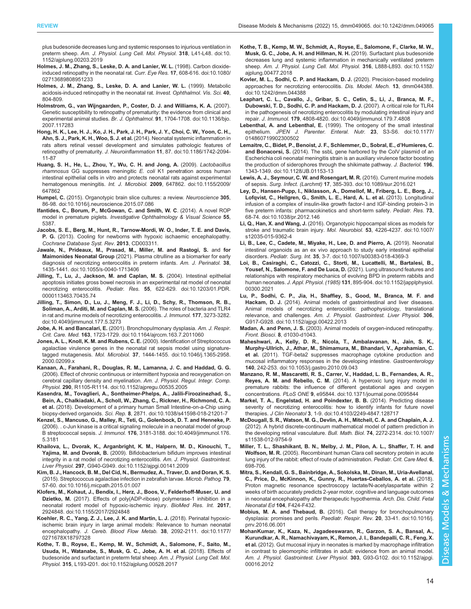<span id="page-13-0"></span>[plus budesonide decreases lung and systemic responses to injurious ventilation in](https://doi.org/10.1152/ajplung.00203.2019) preterm sheep. [Am. J. Physiol. Lung Cell. Mol. Physiol.](https://doi.org/10.1152/ajplung.00203.2019) 318, L41-L48. doi:10. [1152/ajplung.00203.2019](https://doi.org/10.1152/ajplung.00203.2019)

- [Holmes, J. M., Zhang, S., Leske, D. A. and Lanier, W. L.](https://doi.org/10.1080/02713689808951233) (1998). Carbon dioxide[induced retinopathy in the neonatal rat.](https://doi.org/10.1080/02713689808951233) Curr. Eye Res. 17, 608-616. doi:10.1080/ [02713689808951233](https://doi.org/10.1080/02713689808951233)
- Holmes, J. M., Zhang, S., Leske, D. A. and Lanier, W. L. (1999). Metabolic acidosis-induced retinopathy in the neonatal rat. Invest. Ophthalmol. Vis. Sci. 40, 804-809.
- [Holmstrom, G., van Wijngaarden, P., Coster, D. J. and Williams, K. A.](https://doi.org/10.1136/bjo.2007.117283) (2007). [Genetic susceptibility to retinopathy of prematurity: the evidence from clinical and](https://doi.org/10.1136/bjo.2007.117283) experimental animal studies. Br. J. Ophthalmol. 91[, 1704-1708. doi:10.1136/bjo.](https://doi.org/10.1136/bjo.2007.117283) [2007.117283](https://doi.org/10.1136/bjo.2007.117283)
- [Hong, H. K., Lee, H. J., Ko, J. H., Park, J. H., Park, J. Y., Choi, C. W., Yoon, C. H.,](https://doi.org/10.1186/1742-2094-11-87) [Ahn, S. J., Park, K. H., Woo, S. J. et al.](https://doi.org/10.1186/1742-2094-11-87) (2014). Neonatal systemic inflammation in [rats alters retinal vessel development and simulates pathologic features of](https://doi.org/10.1186/1742-2094-11-87) retinopathy of prematurity. J. Neuroinflammation 11[, 87. doi:10.1186/1742-2094-](https://doi.org/10.1186/1742-2094-11-87) [11-87](https://doi.org/10.1186/1742-2094-11-87)
- [Huang, S. H., He, L., Zhou, Y., Wu, C. H. and Jong, A.](https://doi.org/10.1155/2009/647862) (2009). Lactobacillus  $r$ hamnosus GG suppresses meningitic  $E$ . coli [K1 penetration across human](https://doi.org/10.1155/2009/647862) [intestinal epithelial cells in vitro and protects neonatal rats against experimental](https://doi.org/10.1155/2009/647862) hematogenous meningitis. Int. J. Microbiol. 2009[, 647862. doi:10.1155/2009/](https://doi.org/10.1155/2009/647862) [647862](https://doi.org/10.1155/2009/647862)
- Humpel, C. [\(2015\). Organotypic brain slice cultures: a review.](https://doi.org/10.1016/j.neuroscience.2015.07.086) Neuroscience 305, [86-98. doi:10.1016/j.neuroscience.2015.07.086](https://doi.org/10.1016/j.neuroscience.2015.07.086)
- Ifantides, C., Borum, P., McGowan, C. and Smith, W. C. (2014). A novel ROP model in premature piglets. Investigative Ophthalmology & Visual Science 55, 5387.
- Jacobs, S. E., Berg, M., Hunt, R., Tarnow-Mordi, W. O., Inder, T. E. and Davis, P. G. (2013). Cooling for newborns with hypoxic ischaemic encephalopathy. Cochrane Database Syst. Rev. 2013, CD003311.
- [Jawale, N., Prideaux, M., Prasad, M., Miller, M. and Rastogi, S.](https://doi.org/10.1055/s-0040-1713406) and for Maimonides Neonatal Group [\(2021\). Plasma citrulline as a biomarker for early](https://doi.org/10.1055/s-0040-1713406) [diagnosis of necrotizing enterocolitis in preterm infants.](https://doi.org/10.1055/s-0040-1713406) Am. J. Perinatol. 38, [1435-1441. doi:10.1055/s-0040-1713406](https://doi.org/10.1055/s-0040-1713406)
- [Jilling, T., Lu, J., Jackson, M. and Caplan, M. S.](https://doi.org/10.1203/01.PDR.0000113463.70435.74) (2004). Intestinal epithelial [apoptosis initiates gross bowel necrosis in an experimental rat model of neonatal](https://doi.org/10.1203/01.PDR.0000113463.70435.74) necrotizing enterocolitis. Pediatr. Res. 55[, 622-629. doi:10.1203/01.PDR.](https://doi.org/10.1203/01.PDR.0000113463.70435.74) [0000113463.70435.74](https://doi.org/10.1203/01.PDR.0000113463.70435.74)
- [Jilling, T., Simon, D., Lu, J., Meng, F. J., Li, D., Schy, R., Thomson, R. B.,](https://doi.org/10.4049/jimmunol.177.5.3273) [Soliman, A., Arditi, M. and Caplan, M. S.](https://doi.org/10.4049/jimmunol.177.5.3273) (2006). The roles of bacteria and TLR4 [in rat and murine models of necrotizing enterocolitis.](https://doi.org/10.4049/jimmunol.177.5.3273) J. Immunol. 177, 3273-3282. [doi:10.4049/jimmunol.177.5.3273](https://doi.org/10.4049/jimmunol.177.5.3273)
- Jobe, A. H. and Bancalari, E. [\(2001\). Bronchopulmonary dysplasia.](https://doi.org/10.1164/ajrccm.163.7.2011060) Am. J. Respir. Crit. Care. Med. 163[, 1723-1729. doi:10.1164/ajrccm.163.7.2011060](https://doi.org/10.1164/ajrccm.163.7.2011060)
- [Jones, A. L., Knoll, K. M. and Rubens, C. E.](https://doi.org/10.1046/j.1365-2958.2000.02099.x) (2000). Identification of Streptococcus [agalactiae virulence genes in the neonatal rat sepsis model using signature](https://doi.org/10.1046/j.1365-2958.2000.02099.x)tagged mutagenesis. Mol. Microbiol. 37[, 1444-1455. doi:10.1046/j.1365-2958.](https://doi.org/10.1046/j.1365-2958.2000.02099.x) [2000.02099.x](https://doi.org/10.1046/j.1365-2958.2000.02099.x)
- [Kanaan, A., Farahani, R., Douglas, R. M., Lamanna, J. C. and Haddad, G. G.](https://doi.org/10.1152/ajpregu.00535.2005) [\(2006\). Effect of chronic continuous or intermittent hypoxia and reoxygenation on](https://doi.org/10.1152/ajpregu.00535.2005) [cerebral capillary density and myelination.](https://doi.org/10.1152/ajpregu.00535.2005) Am. J. Physiol. Regul. Integr. Comp. Physiol. 290[, R1105-R1114. doi:10.1152/ajpregu.00535.2005](https://doi.org/10.1152/ajpregu.00535.2005)
- [Kasendra, M., Tovaglieri, A., Sontheimer-Phelps, A., Jalili-Firoozinezhad, S.,](https://doi.org/10.1038/s41598-018-21201-7) [Bein, A., Chalkiadaki, A., Scholl, W., Zhang, C., Rickner, H., Richmond, C. A.](https://doi.org/10.1038/s41598-018-21201-7) et al. [\(2018\). Development of a primary human Small Intestine-on-a-Chip using](https://doi.org/10.1038/s41598-018-21201-7) biopsy-derived organoids. Sci. Rep. 8[, 2871. doi:10.1038/s41598-018-21201-7](https://doi.org/10.1038/s41598-018-21201-7)
- [Kenzel, S., Mancuso, G., Malley, R., Teti, G., Golenbock, D. T. and Henneke, P.](https://doi.org/10.4049/jimmunol.176.5.3181) [\(2006\). . c-Jun kinase is a critical signaling molecule in a neonatal model of group](https://doi.org/10.4049/jimmunol.176.5.3181) B streptococcal sepsis. J. Immunol. 176[, 3181-3188. doi:10.4049/jimmunol.176.](https://doi.org/10.4049/jimmunol.176.5.3181) [5.3181](https://doi.org/10.4049/jimmunol.176.5.3181)
- [Khailova, L., Dvorak, K., Arganbright, K. M., Halpern, M. D., Kinouchi, T.,](https://doi.org/10.1152/ajpgi.00141.2009) Yajima, M. and Dvorak, B. [\(2009\). Bifidobacterium bifidum improves intestinal](https://doi.org/10.1152/ajpgi.00141.2009) [integrity in a rat model of necrotizing enterocolitis.](https://doi.org/10.1152/ajpgi.00141.2009) Am. J. Physiol. Gastrointest. Liver Physiol. 297[, G940-G949. doi:10.1152/ajpgi.00141.2009](https://doi.org/10.1152/ajpgi.00141.2009)
- [Kim, B. J., Hancock, B. M., Del Cid, N., Bermudez, A., Traver, D. and Doran, K. S.](https://doi.org/10.1016/j.micpath.2015.01.007) [\(2015\). Streptococcus agalactiae infection in zebrafish larvae.](https://doi.org/10.1016/j.micpath.2015.01.007) Microb. Pathog. 79, [57-60. doi:10.1016/j.micpath.2015.01.007](https://doi.org/10.1016/j.micpath.2015.01.007)
- [Klofers, M., Kohaut, J., Bendix, I., Herz, J., Boos, V., Felderhoff-Muser, U. and](https://doi.org/10.1155/2017/2924848) Dzietko, M. [\(2017\). Effects of poly\(ADP-ribose\) polymerase-1 inhibition in a](https://doi.org/10.1155/2017/2924848) [neonatal rodent model of hypoxic-ischemic injury.](https://doi.org/10.1155/2017/2924848) BioMed Res. Int. 2017, [2924848. doi:10.1155/2017/2924848](https://doi.org/10.1155/2017/2924848)
- [Koehler, R. C., Yang, Z. J., Lee, J. K. and Martin, L. J.](https://doi.org/10.1177/0271678X18797328) (2018). Perinatal hypoxic[ischemic brain injury in large animal models: Relevance to human neonatal](https://doi.org/10.1177/0271678X18797328) encephalopathy. [J. Cereb. Blood Flow Metab.](https://doi.org/10.1177/0271678X18797328) 38, 2092-2111. doi:10.1177/ [0271678X18797328](https://doi.org/10.1177/0271678X18797328)
- [Kothe, T. B., Royse, E., Kemp, M. W., Schmidt, A., Salomone, F., Saito, M.,](https://doi.org/10.1152/ajplung.00528.2017) [Usuda, H., Watanabe, S., Musk, G. C., Jobe, A. H. et al.](https://doi.org/10.1152/ajplung.00528.2017) (2018). Effects of [budesonide and surfactant in preterm fetal sheep.](https://doi.org/10.1152/ajplung.00528.2017) Am. J. Physiol. Lung Cell. Mol. Physiol. 315[, L193-l201. doi:10.1152/ajplung.00528.2017](https://doi.org/10.1152/ajplung.00528.2017)
- [Kothe, T. B., Kemp, M. W., Schmidt, A., Royse, E., Salomone, F., Clarke, M. W.,](https://doi.org/10.1152/ajplung.00477.2018) [Musk, G. C., Jobe, A. H. and Hillman, N. H.](https://doi.org/10.1152/ajplung.00477.2018) (2019). Surfactant plus budesonide decreases lung and [systemic inflammation in mechanically ventilated preterm](https://doi.org/10.1152/ajplung.00477.2018) sheep. [Am. J. Physiol. Lung Cell. Mol. Physiol.](https://doi.org/10.1152/ajplung.00477.2018) 316, L888-L893. doi:10.1152/ [ajplung.00477.2018](https://doi.org/10.1152/ajplung.00477.2018)
- [Kovler, M. L., Sodhi, C. P. and Hackam, D. J.](https://doi.org/10.1242/dmm.044388) (2020). Precision-based modeling [approaches for necrotizing enterocolitis.](https://doi.org/10.1242/dmm.044388) Dis. Model. Mech. 13, dmm044388. [doi:10.1242/dmm.044388](https://doi.org/10.1242/dmm.044388)
- [Leaphart, C. L., Cavallo, J., Gribar, S. C., Cetin, S., Li, J., Branca, M. F.,](https://doi.org/10.4049/jimmunol.179.7.4808) [Dubowski, T. D., Sodhi, C. P. and Hackam, D. J.](https://doi.org/10.4049/jimmunol.179.7.4808) (2007). A critical role for TLR4 [in the pathogenesis of necrotizing enterocolitis by modulating intestinal injury and](https://doi.org/10.4049/jimmunol.179.7.4808) repair. J. Immunol. 179[, 4808-4820. doi:10.4049/jimmunol.179.7.4808](https://doi.org/10.4049/jimmunol.179.7.4808)
- Lebenthal, A. and Lebenthal, E. [\(1999\). The ontogeny of the small intestinal](https://doi.org/10.1177/014860719902300502) epithelium. [JPEN J. Parenter. Enteral. Nutr.](https://doi.org/10.1177/014860719902300502) 23, S3-S6. doi:10.1177/ [014860719902300502](https://doi.org/10.1177/014860719902300502)
- [Lemaitre, C., Bidet, P., Benoist, J. F., Schlemmer, D., Sobral, E., d](https://doi.org/10.1128/JB.01153-13)'Humieres, C. and Bonacorsi, S. [\(2014\). The ssbL gene harbored by the ColV plasmid of an](https://doi.org/10.1128/JB.01153-13) [Escherichia coli neonatal meningitis strain is an auxiliary virulence factor boosting](https://doi.org/10.1128/JB.01153-13) [the production of siderophores through the shikimate pathway.](https://doi.org/10.1128/JB.01153-13) J. Bacteriol. 196, [1343-1349. doi:10.1128/JB.01153-13](https://doi.org/10.1128/JB.01153-13)
- [Lewis, A. J., Seymour, C. W. and Rosengart, M. R.](https://doi.org/10.1089/sur.2016.021) (2016). Current murine models of sepsis. Surg. Infect. (Larchmt) 17[, 385-393. doi:10.1089/sur.2016.021](https://doi.org/10.1089/sur.2016.021)
- [Ley, D., Hansen-Pupp, I., Niklasson, A., Domellof, M., Friberg, L. E., Borg, J.,](https://doi.org/10.1038/pr.2012.146) [Lofqvist, C., Hellgren, G., Smith, L. E., Hard, A. L. et al.](https://doi.org/10.1038/pr.2012.146) (2013). Longitudinal [infusion of a complex of insulin-like growth factor-I and IGF-binding protein-3 in](https://doi.org/10.1038/pr.2012.146) [five preterm infants: pharmacokinetics and short-term safety.](https://doi.org/10.1038/pr.2012.146) Pediatr. Res. 73, [68-74. doi:10.1038/pr.2012.146](https://doi.org/10.1038/pr.2012.146)
- Li, Q., Han, X. and Wang, J. [\(2016\). Organotypic hippocampal slices as models for](https://doi.org/10.1007/s12035-015-9362-4) [stroke and traumatic brain injury.](https://doi.org/10.1007/s12035-015-9362-4) Mol. Neurobiol. 53, 4226-4237. doi:10.1007/ [s12035-015-9362-4](https://doi.org/10.1007/s12035-015-9362-4)
- [Li, B., Lee, C., Cadete, M., Miyake, H., Lee, D. and Pierro, A.](https://doi.org/10.1007/s00383-018-4369-3) (2019). Neonatal [intestinal organoids as an ex vivo approach to study early intestinal epithelial](https://doi.org/10.1007/s00383-018-4369-3) disorders. Pediatr. Surg. Int. 35[, 3-7. doi:10.1007/s00383-018-4369-3](https://doi.org/10.1007/s00383-018-4369-3)
- [Loi, B., Casiraghi, C., Catozzi, C., Storti, M., Lucattelli, M., Bartalesi, B.,](https://doi.org/10.1152/japplphysiol.00300.2021) [Yousef, N., Salomone, F. and De Luca, D.](https://doi.org/10.1152/japplphysiol.00300.2021) (2021). Lung ultrasound features and [relationships with respiratory mechanics of evolving BPD in preterm rabbits and](https://doi.org/10.1152/japplphysiol.00300.2021) human neonates. J. Appl. Physiol. (1985) 131[, 895-904. doi:10.1152/japplphysiol.](https://doi.org/10.1152/japplphysiol.00300.2021) [00300.2021](https://doi.org/10.1152/japplphysiol.00300.2021)
- [Lu, P., Sodhi, C. P., Jia, H., Shaffiey, S., Good, M., Branca, M. F. and](https://doi.org/10.1152/ajpgi.00422.2013) Hackam, D. J. [\(2014\). Animal models of gastrointestinal and liver diseases.](https://doi.org/10.1152/ajpgi.00422.2013) [Animal models of necrotizing enterocolitis: pathophysiology, translational](https://doi.org/10.1152/ajpgi.00422.2013) relevance, and challenges. [Am. J. Physiol. Gastrointest. Liver Physiol.](https://doi.org/10.1152/ajpgi.00422.2013) 306, [G917-G928. doi:10.1152/ajpgi.00422.2013](https://doi.org/10.1152/ajpgi.00422.2013)
- Madan, A. and Penn, J. S. (2003). Animal models of oxygen-induced retinopathy. Front. Biosci. 8, d1030-d1043.
- [Maheshwari, A., Kelly, D. R., Nicola, T., Ambalavanan, N., Jain, S. K.,](https://doi.org/10.1053/j.gastro.2010.09.043) [Murphy-Ullrich, J., Athar, M., Shimamura, M., Bhandari, V., Aprahamian, C.](https://doi.org/10.1053/j.gastro.2010.09.043) et al. [\(2011\). TGF-beta2 suppresses macrophage cytokine production and](https://doi.org/10.1053/j.gastro.2010.09.043) [mucosal inflammatory responses in the developing intestine.](https://doi.org/10.1053/j.gastro.2010.09.043) Gastroenterology 140[, 242-253. doi:10.1053/j.gastro.2010.09.043](https://doi.org/10.1053/j.gastro.2010.09.043)
- [Manzano, R. M., Mascaretti, R. S., Carrer, V., Haddad, L. B., Fernandes, A. R.,](https://doi.org/10.1371/journal.pone.0095844) Reyes, A. M. and Rebello, C. M. [\(2014\). A hyperoxic lung injury model in](https://doi.org/10.1371/journal.pone.0095844) [premature rabbits: the influence of different gestational ages and oxygen](https://doi.org/10.1371/journal.pone.0095844) concentrations. PLoS ONE 9[, e95844. doi:10.1371/journal.pone.0095844](https://doi.org/10.1371/journal.pone.0095844)
- [Markel, T. A., Engelstad, H. and Poindexter, B. B.](https://doi.org/10.4103/2249-4847.128717) (2014). Predicting disease [severity of necrotizing enterocolitis: how to identify infants for future novel](https://doi.org/10.4103/2249-4847.128717) therapies. J Clin Neonatol 3[, 1-9. doi:10.4103/2249-4847.128717](https://doi.org/10.4103/2249-4847.128717)
- [McDougall, S. R., Watson, M. G., Devlin, A. H., Mitchell, C. A. and Chaplain, A. J.](https://doi.org/10.1007/s11538-012-9754-9) [\(2012\). A hybrid discrete-continuum mathematical model of pattern prediction in](https://doi.org/10.1007/s11538-012-9754-9) [the developing retinal vasculature.](https://doi.org/10.1007/s11538-012-9754-9) Bull. Math. Biol. 74, 2272-2314. doi:10.1007/ [s11538-012-9754-9](https://doi.org/10.1007/s11538-012-9754-9)
- Miller, T. L., Shashikant, B. N., Melby, J. M., Pilon, A. L., Shaffer, T. H. and Wolfson, M. R. (2005). Recombinant human Clara cell secretory protein in acute lung injury of the rabbit: effect of route of administration. Pediatr. Crit. Care Med. 6, 698-706.
- Mitra, S., Kendall, G. S., Bainbridge, A., Sokolska, M., Dinan, M., Uria-Avellanal, C., Price, D., McKinnon, K., Gunny, R., Huertas-Ceballos, A. et al. (2018). Proton magnetic resonance spectroscopy lactate/N-acetylaspartate within 2 weeks of birth accurately predicts 2-year motor, cognitive and language outcomes in neonatal encephalopathy after therapeutic hypothermia. Arch. Dis. Child. Fetal Neonatal Ed 104, F424-F432.
- Mobius, M. A. and Thebaud, B. [\(2016\). Cell therapy for bronchopulmonary](https://doi.org/10.1016/j.prrv.2016.06.001) [dysplasia: promises and perils.](https://doi.org/10.1016/j.prrv.2016.06.001) Paediatr. Respir. Rev. 20, 33-41. doi:10.1016/j. [prrv.2016.06.001](https://doi.org/10.1016/j.prrv.2016.06.001)
- [MohanKumar, K., Kaza, N., Jagadeeswaran, R., Garzon, S. A., Bansal, A.,](https://doi.org/10.1152/ajpgi.00016.2012) [Kurundkar, A. R., Namachivayam, K., Remon, J. I., Bandepalli, C. R., Feng, X.](https://doi.org/10.1152/ajpgi.00016.2012) et al. [\(2012\). Gut mucosal injury in neonates is marked by macrophage infiltration](https://doi.org/10.1152/ajpgi.00016.2012) [in contrast to pleomorphic infiltrates in adult: evidence from an animal model.](https://doi.org/10.1152/ajpgi.00016.2012) [Am. J. Physiol. Gastrointest. Liver Physiol.](https://doi.org/10.1152/ajpgi.00016.2012) 303, G93-G102. doi:10.1152/ajpgi. [00016.2012](https://doi.org/10.1152/ajpgi.00016.2012)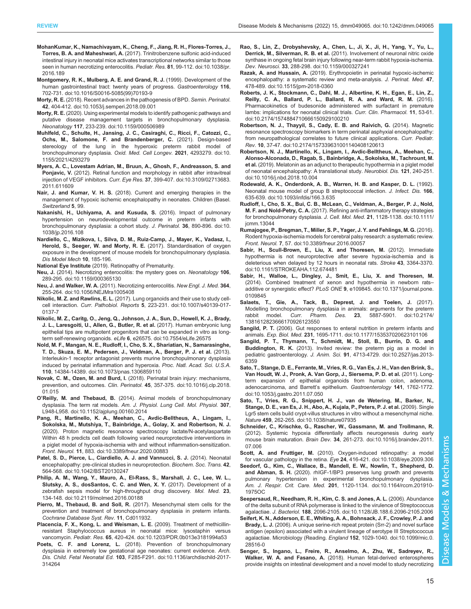- <span id="page-14-0"></span>[MohanKumar, K., Namachivayam, K., Cheng, F., Jiang, R. H., Flores-Torres, J.,](https://doi.org/10.1038/pr.2016.189) Torres, B. A. and Maheshwari, A. [\(2017\). Trinitrobenzene sulfonic acid-induced](https://doi.org/10.1038/pr.2016.189) [intestinal injury in neonatal mice activates transcriptional networks similar to those](https://doi.org/10.1038/pr.2016.189) [seen in human necrotizing enterocolitis.](https://doi.org/10.1038/pr.2016.189) Pediatr. Res. 81, 99-112. doi:10.1038/pr. [2016.189](https://doi.org/10.1038/pr.2016.189)
- [Montgomery, R. K., Mulberg, A. E. and Grand, R. J.](https://doi.org/10.1016/S0016-5085(99)70193-9) (1999). Development of the [human gastrointestinal tract: twenty years of progress.](https://doi.org/10.1016/S0016-5085(99)70193-9) Gastroenterology 116, [702-731. doi:10.1016/S0016-5085\(99\)70193-9](https://doi.org/10.1016/S0016-5085(99)70193-9)
- Morty, R. E. [\(2018\). Recent advances in the pathogenesis of BPD.](https://doi.org/10.1053/j.semperi.2018.09.001) Semin. Perinatol. 42[, 404-412. doi:10.1053/j.semperi.2018.09.001](https://doi.org/10.1053/j.semperi.2018.09.001)
- Morty, R. E. [\(2020\). Using experimental models to identify pathogenic pathways and](https://doi.org/10.1159/000506989) [putative disease management targets in bronchopulmonary dysplasia.](https://doi.org/10.1159/000506989) Neonatology 117[, 233-239. doi:10.1159/000506989](https://doi.org/10.1159/000506989)
- [Muhlfeld, C., Schulte, H., Jansing, J. C., Casiraghi, C., Ricci, F., Catozzi, C.,](https://doi.org/10.1155/2021/4293279) [Ochs, M., Salomone, F. and Brandenberger, C.](https://doi.org/10.1155/2021/4293279) (2021). Design-based [stereology of the lung in the hyperoxic preterm rabbit model of](https://doi.org/10.1155/2021/4293279) [bronchopulmonary dysplasia.](https://doi.org/10.1155/2021/4293279) Oxid. Med. Cell Longev. 2021, 4293279. doi:10. [1155/2021/4293279](https://doi.org/10.1155/2021/4293279)
- [Myers, A. C., Lovestam Adrian, M., Bruun, A., Ghosh, F., Andreasson, S. and](https://doi.org/10.3109/02713683.2011.611609) Ponjavic, V. [\(2012\). Retinal function and morphology in rabbit after intravitreal](https://doi.org/10.3109/02713683.2011.611609) injection of VEGF inhibitors. Curr. Eye Res. 37[, 399-407. doi:10.3109/02713683.](https://doi.org/10.3109/02713683.2011.611609) [2011.611609](https://doi.org/10.3109/02713683.2011.611609)
- Nair, J. and Kumar, V. H. S. (2018). Current and emerging therapies in the management of hypoxic ischemic encephalopathy in neonates. Children (Basel. Switzerland 5, 99.
- [Nakanishi, H., Uchiyama, A. and Kusuda, S.](https://doi.org/10.1038/jp.2016.108) (2016). Impact of pulmonary [hypertension on neurodevelopmental outcome in preterm infants with](https://doi.org/10.1038/jp.2016.108) [bronchopulmonary dysplasia: a cohort study.](https://doi.org/10.1038/jp.2016.108) J. Perinatol. 36, 890-896. doi:10. [1038/jp.2016.108](https://doi.org/10.1038/jp.2016.108)
- Nardiello, C., Mizikova, I., Silva, D. M., Ruiz-Camp, J., Mayer, K., Vadasz, I., Herold, S., Seeger, W. and Morty, R. E. (2017). Standardisation of oxygen exposure in the development of mouse models for bronchopulmonary dysplasia. Dis Model Mech 10, 185-196.
- National Eye Institute (2019). Retinopathy of Prematurity.
- Neu, J. [\(2014\). Necrotizing enterocolitis: the mystery goes on.](https://doi.org/10.1159/000365130) Neonatology 106, [289-295. doi:10.1159/000365130](https://doi.org/10.1159/000365130)
- Neu, J. and Walker, W. A. [\(2011\). Necrotizing enterocolitis.](https://doi.org/10.1056/NEJMra1005408) New Engl. J. Med. 364, [255-264. doi:10.1056/NEJMra1005408](https://doi.org/10.1056/NEJMra1005408)
- Nikolic, M. Z. and Rawlins, E. L. [\(2017\). Lung organoids and their use to study cell](https://doi.org/10.1007/s40139-017-0137-7)cell interaction. Curr. Pathobiol. Reports 5[, 223-231. doi:10.1007/s40139-017-](https://doi.org/10.1007/s40139-017-0137-7) [0137-7](https://doi.org/10.1007/s40139-017-0137-7)
- [Nikolic, M. Z., Caritg, O., Jeng, Q., Johnson, J. A., Sun, D., Howell, K. J., Brady,](https://doi.org/10.7554/eLife.26575) [J. L., Laresgoiti, U., Allen, G., Butler, R. et al.](https://doi.org/10.7554/eLife.26575) (2017). Human embryonic lung [epithelial tips are multipotent progenitors that can be expanded in vitro as long](https://doi.org/10.7554/eLife.26575)term self-renewing organoids. eLife 6[, e26575. doi:10.7554/eLife.26575](https://doi.org/10.7554/eLife.26575)
- [Nold, M. F., Mangan, N. E., Rudloff, I., Cho, S. X., Shariatian, N., Samarasinghe,](https://doi.org/10.1073/pnas.1306859110) [T. D., Skuza, E. M., Pedersen, J., Veldman, A., Berger, P. J. et al.](https://doi.org/10.1073/pnas.1306859110) (2013). [Interleukin-1 receptor antagonist prevents murine bronchopulmonary dysplasia](https://doi.org/10.1073/pnas.1306859110) [induced by perinatal inflammation and hyperoxia.](https://doi.org/10.1073/pnas.1306859110) Proc. Natl. Acad. Sci. U.S.A. 110[, 14384-14389. doi:10.1073/pnas.1306859110](https://doi.org/10.1073/pnas.1306859110)
- Novak, C. M., Ozen, M. and Burd, I. [\(2018\). Perinatal brain injury: mechanisms,](https://doi.org/10.1016/j.clp.2018.01.015) prevention, and outcomes. Clin. Perinatol. 45[, 357-375. doi:10.1016/j.clp.2018.](https://doi.org/10.1016/j.clp.2018.01.015) [01.015](https://doi.org/10.1016/j.clp.2018.01.015)
- O'Reilly, M. and Thebaud, B. [\(2014\). Animal models of bronchopulmonary](https://doi.org/10.1152/ajplung.00160.2014) dysplasia. The term rat models. [Am. J. Physiol. Lung Cell. Mol. Physiol.](https://doi.org/10.1152/ajplung.00160.2014) 307, [L948-L958. doi:10.1152/ajplung.00160.2014](https://doi.org/10.1152/ajplung.00160.2014)
- [Pang, R., Martinello, K. A., Meehan, C., Avdic-Belltheus, A., Lingam, I.,](https://doi.org/10.3389/fneur.2020.00883) [Sokolska, M., Mutshiya, T., Bainbridge, A., Golay, X. and Robertson, N. J.](https://doi.org/10.3389/fneur.2020.00883) [\(2020\). Proton magnetic resonance spectroscopy lactate/N-acetylaspartate](https://doi.org/10.3389/fneur.2020.00883) [Within 48 h predicts cell death following varied neuroprotective interventions in](https://doi.org/10.3389/fneur.2020.00883) [a piglet model of hypoxia-ischemia with and without inflammation-sensitization.](https://doi.org/10.3389/fneur.2020.00883) Front. Neurol. 11[, 883. doi:10.3389/fneur.2020.00883](https://doi.org/10.3389/fneur.2020.00883)
- [Patel, S. D., Pierce, L., Ciardiello, A. J. and Vannucci, S. J.](https://doi.org/10.1042/BST20130247) (2014). Neonatal [encephalopathy: pre-clinical studies in neuroprotection.](https://doi.org/10.1042/BST20130247) Biochem. Soc. Trans. 42, [564-568. doi:10.1042/BST20130247](https://doi.org/10.1042/BST20130247)
- [Philip, A. M., Wang, Y., Mauro, A., El-Rass, S., Marshall, J. C., Lee, W. L.,](https://doi.org/10.2119/molmed.2016.00188) [Slutsky, A. S., dosSantos, C. C. and Wen, X. Y.](https://doi.org/10.2119/molmed.2016.00188) (2017). Development of a [zebrafish sepsis model for high-throughput drug discovery.](https://doi.org/10.2119/molmed.2016.00188) Mol. Med. 23, [134-148. doi:10.2119/molmed.2016.00188](https://doi.org/10.2119/molmed.2016.00188)
- Pierro, M., Thebaud, B. and Soll, R. (2017). Mesenchymal stem cells for the prevention and treatment of bronchopulmonary dysplasia in preterm infants. Cochrane Database Syst. Rev. 11, Cd011932.
- [Placencia, F. X., Kong, L. and Weisman, L. E.](https://doi.org/10.1203/PDR.0b013e3181994a53) (2009). Treatment of methicillin[resistant Staphylococcus aureus in neonatal mice: lysostaphin versus](https://doi.org/10.1203/PDR.0b013e3181994a53) vancomycin. Pediatr. Res. 65[, 420-424. doi:10.1203/PDR.0b013e3181994a53](https://doi.org/10.1203/PDR.0b013e3181994a53)
- Poets, C. F. and Lorenz, L. [\(2018\). Prevention of bronchopulmonary](https://doi.org/10.1136/archdischild-2017-314264) [dysplasia in extremely low gestational age neonates: current evidence.](https://doi.org/10.1136/archdischild-2017-314264) Arch. Dis. Child. Fetal Neonatal Ed. 103[, F285-F291. doi:10.1136/archdischild-2017-](https://doi.org/10.1136/archdischild-2017-314264) [314264](https://doi.org/10.1136/archdischild-2017-314264)
- [Rao, S., Lin, Z., Drobyshevsky, A., Chen, L., Ji, X., Ji, H., Yang, Y., Yu, L.,](https://doi.org/10.1159/000327241) Derrick, M., Silverman, R. B. et al. [\(2011\). Involvement of neuronal nitric oxide](https://doi.org/10.1159/000327241) [synthase in ongoing fetal brain injury following near-term rabbit hypoxia-ischemia.](https://doi.org/10.1159/000327241) Dev. Neurosci. 33[, 288-298. doi:10.1159/000327241](https://doi.org/10.1159/000327241)
- Razak, A. and Hussain, A. [\(2019\). Erythropoietin in perinatal hypoxic-ischemic](https://doi.org/10.1515/jpm-2018-0360) [encephalopathy: a systematic review and meta-analysis.](https://doi.org/10.1515/jpm-2018-0360) J. Perinat. Med. 47, [478-489. doi:10.1515/jpm-2018-0360](https://doi.org/10.1515/jpm-2018-0360)
- [Roberts, J. K., Stockmann, C., Dahl, M. J., Albertine, K. H., Egan, E., Lin, Z.,](https://doi.org/10.2174/1574884710666150929100210) [Reilly, C. A., Ballard, P. L., Ballard, R. A. and Ward, R. M.](https://doi.org/10.2174/1574884710666150929100210) (2016). [Pharmacokinetics of budesonide administered with surfactant in premature](https://doi.org/10.2174/1574884710666150929100210) [lambs: implications for neonatal clinical trials.](https://doi.org/10.2174/1574884710666150929100210) Curr. Clin. Pharmacol. 11, 53-61. [doi:10.2174/1574884710666150929100210](https://doi.org/10.2174/1574884710666150929100210)
- [Robertson, N. J., Thayyil, S., Cady, E. B. and Raivich, G.](https://doi.org/10.2174/157339631001140408120613) (2014). Magnetic [resonance spectroscopy biomarkers in term perinatal asphyxial encephalopathy:](https://doi.org/10.2174/157339631001140408120613) [from neuropathological correlates to future clinical applications.](https://doi.org/10.2174/157339631001140408120613) Curr. Pediatr. Rev. 10[, 37-47. doi:10.2174/157339631001140408120613](https://doi.org/10.2174/157339631001140408120613)
- [Robertson, N. J., Martinello, K., Lingam, I., Avdic-Belltheus, A., Meehan, C.,](https://doi.org/10.1016/j.nbd.2018.10.004) [Alonso-Alconada, D., Ragab, S., Bainbridge, A., Sokolska, M., Tachrount, M.](https://doi.org/10.1016/j.nbd.2018.10.004) et al. [\(2019\). Melatonin as an adjunct to therapeutic hypothermia in a piglet model](https://doi.org/10.1016/j.nbd.2018.10.004) [of neonatal encephalopathy: A translational study.](https://doi.org/10.1016/j.nbd.2018.10.004) Neurobiol. Dis. 121, 240-251. [doi:10.1016/j.nbd.2018.10.004](https://doi.org/10.1016/j.nbd.2018.10.004)
- [Rodewald, A. K., Onderdonk, A. B., Warren, H. B. and Kasper, D. L.](https://doi.org/10.1093/infdis/166.3.635) (1992). [Neonatal mouse model of group B streptococcal infection.](https://doi.org/10.1093/infdis/166.3.635) J. Infect. Dis. 166, [635-639. doi:10.1093/infdis/166.3.635](https://doi.org/10.1093/infdis/166.3.635)
- [Rudloff, I., Cho, S. X., Bui, C. B., McLean, C., Veldman, A., Berger, P. J., Nold,](https://doi.org/10.1111/jcmm.13044) M. F. and Nold-Petry, C. A. [\(2017\). Refining anti-inflammatory therapy strategies](https://doi.org/10.1111/jcmm.13044) [for bronchopulmonary dysplasia.](https://doi.org/10.1111/jcmm.13044) J. Cell. Mol. Med. 21, 1128-1138. doi:10.1111/ [jcmm.13044](https://doi.org/10.1111/jcmm.13044)
- [Rumajogee, P., Bregman, T., Miller, S. P., Yager, J. Y. and Fehlings, M. G.](https://doi.org/10.3389/fneur.2016.00057) (2016). [Rodent hypoxia-ischemia models for cerebral palsy research: a systematic review.](https://doi.org/10.3389/fneur.2016.00057) Front. Neurol. 7[, 57. doi:10.3389/fneur.2016.00057](https://doi.org/10.3389/fneur.2016.00057)
- [Sabir, H., Scull-Brown, E., Liu, X. and Thoresen, M.](https://doi.org/10.1161/STROKEAHA.112.674481) (2012). Immediate [hypothermia is not neuroprotective after severe hypoxia-ischemia and is](https://doi.org/10.1161/STROKEAHA.112.674481) [deleterious when delayed by 12 hours in neonatal rats.](https://doi.org/10.1161/STROKEAHA.112.674481) Stroke 43, 3364-3370. [doi:10.1161/STROKEAHA.112.674481](https://doi.org/10.1161/STROKEAHA.112.674481)
- [Sabir, H., Walloe, L., Dingley, J., Smit, E., Liu, X. and Thoresen, M.](https://doi.org/10.1371/journal.pone.0109845) [\(2014\). Combined treatment of xenon and hypothermia in newborn rats](https://doi.org/10.1371/journal.pone.0109845)– additive or synergistic effect? PLoS ONE 9[, e109845. doi:10.1371/journal.pone.](https://doi.org/10.1371/journal.pone.0109845) [0109845](https://doi.org/10.1371/journal.pone.0109845)
- [Salaets, T., Gie, A., Tack, B., Deprest, J. and Toelen, J.](https://doi.org/10.2174/1381612823666170926123550) (2017). [Modelling bronchopulmonary dysplasia in animals: arguments for the preterm](https://doi.org/10.2174/1381612823666170926123550) rabbit model. Curr. Pharm. Des. 23[, 5887-5901. doi:10.2174/](https://doi.org/10.2174/1381612823666170926123550) [1381612823666170926123550](https://doi.org/10.2174/1381612823666170926123550)
- Sangild, P. T. [\(2006\). Gut responses to enteral nutrition in preterm infants and](https://doi.org/10.1177/153537020623101106) animals. Exp. Biol. Med. 231[, 1695-1711. doi:10.1177/153537020623101106](https://doi.org/10.1177/153537020623101106)
- [Sangild, P. T., Thymann, T., Schmidt, M., Stoll, B., Burrin, D. G. and](https://doi.org/10.2527/jas.2013-6359) Buddington, R. K. [\(2013\). Invited review: the preterm pig as a model in](https://doi.org/10.2527/jas.2013-6359) pediatric gastroenterology. J. Anim. Sci. 91[, 4713-4729. doi:10.2527/jas.2013-](https://doi.org/10.2527/jas.2013-6359) [6359](https://doi.org/10.2527/jas.2013-6359)
- [Sato, T., Stange, D. E., Ferrante, M., Vries, R. G., Van Es, J. H., Van den Brink, S.,](https://doi.org/10.1053/j.gastro.2011.07.050) [Van Houdt, W. J., Pronk, A. Van Gorp, J., Siersema, P. D. et al.](https://doi.org/10.1053/j.gastro.2011.07.050) (2011). Long[term expansion of epithelial organoids from human colon, adenoma,](https://doi.org/10.1053/j.gastro.2011.07.050) [adenocarcinoma, and Barrett](https://doi.org/10.1053/j.gastro.2011.07.050)'s epithelium. Gastroenterology 141, 1762-1772. [doi:10.1053/j.gastro.2011.07.050](https://doi.org/10.1053/j.gastro.2011.07.050)
- [Sato, T., Vries, R. G., Snippert, H. J., van de Wetering, M., Barker, N.,](https://doi.org/10.1038/nature07935) [Stange, D. E., van Es, J. H., Abo, A., Kujala, P., Peters, P. J. et al.](https://doi.org/10.1038/nature07935) (2009). Single [Lgr5 stem cells build crypt-villus structures in vitro without a mesenchymal niche.](https://doi.org/10.1038/nature07935) Nature 459[, 262-265. doi:10.1038/nature07935](https://doi.org/10.1038/nature07935)
- [Schneider, C., Krischke, G., Rascher, W., Gassmann, M. and Trollmann, R.](https://doi.org/10.1016/j.braindev.2011.07.006) [\(2012\). Systemic hypoxia differentially affects neurogenesis during early](https://doi.org/10.1016/j.braindev.2011.07.006) mouse brain maturation. Brain Dev. 34[, 261-273. doi:10.1016/j.braindev.2011.](https://doi.org/10.1016/j.braindev.2011.07.006) [07.006](https://doi.org/10.1016/j.braindev.2011.07.006)
- Scott, A. and Fruttiger, M. [\(2010\). Oxygen-induced retinopathy: a model](https://doi.org/10.1038/eye.2009.306) for vascular pathology in the retina. Eye 24[, 416-421. doi:10.1038/eye.2009.306](https://doi.org/10.1038/eye.2009.306)
- [Seedorf, G., Kim, C., Wallace, B., Mandell, E. W., Nowlin, T., Shepherd, D.](https://doi.org/10.1164/rccm.201910-1975OC) and Abman, S. H. [\(2020\). rhIGF-1/BP3 preserves lung growth and prevents](https://doi.org/10.1164/rccm.201910-1975OC) [pulmonary hypertension in experimental bronchopulmonary dysplasia.](https://doi.org/10.1164/rccm.201910-1975OC) Am. J. Respir. Crit. Care. Med. 201[, 1120-1134. doi:10.1164/rccm.201910-](https://doi.org/10.1164/rccm.201910-1975OC) [1975OC](https://doi.org/10.1164/rccm.201910-1975OC)
- [Seepersaud, R., Needham, R. H., Kim, C. S. and Jones, A. L.](https://doi.org/10.1128/JB.188.6.2096-2105.2006) (2006). Abundance [of the delta subunit of RNA polymerase is linked to the virulence of Streptococcus](https://doi.org/10.1128/JB.188.6.2096-2105.2006) agalactiae. J. Bacteriol. 188[, 2096-2105. doi:10.1128/JB.188.6.2096-2105.2006](https://doi.org/10.1128/JB.188.6.2096-2105.2006)
- [Seifert, K. N., Adderson, E. E., Whiting, A. A., Bohnsack, J. F., Crowley, P. J. and](https://doi.org/10.1099/mic.0.28516-0) Brady, L. J. [\(2006\). A unique serine-rich repeat protein \(Srr-2\) and novel surface](https://doi.org/10.1099/mic.0.28516-0) [antigen \(epsilon\) associated with a virulent lineage of serotype III Streptococcus](https://doi.org/10.1099/mic.0.28516-0) [agalactiae. Microbiology \(Reading.](https://doi.org/10.1099/mic.0.28516-0) England 152, 1029-1040. doi:10.1099/mic.0. [28516-0](https://doi.org/10.1099/mic.0.28516-0)
- [Senger, S., Ingano, L., Freire, R., Anselmo, A., Zhu, W., Sadreyev, R.,](https://doi.org/10.1016/j.jcmgh.2018.01.014) Walker, W. A. and Fasano, A. [\(2018\). Human fetal-derived enterospheres](https://doi.org/10.1016/j.jcmgh.2018.01.014) [provide insights on intestinal development and a novel model to study necrotizing](https://doi.org/10.1016/j.jcmgh.2018.01.014)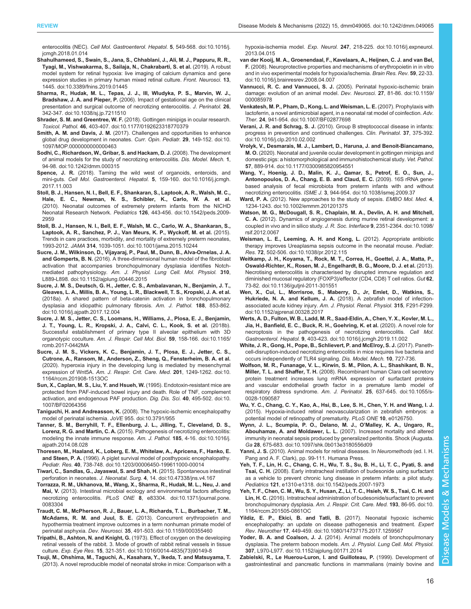<span id="page-15-0"></span>enterocolitis (NEC). [Cell Mol. Gastroenterol. Hepatol.](https://doi.org/10.1016/j.jcmgh.2018.01.014) 5, 549-568. doi:10.1016/j. [jcmgh.2018.01.014](https://doi.org/10.1016/j.jcmgh.2018.01.014)

- [Shahulhameed, S., Swain, S., Jana, S., Chhablani, J., Ali, M. J., Pappuru, R. R.,](https://doi.org/10.3389/fnins.2019.01445) [Tyagi, M., Vishwakarma, S., Sailaja, N., Chakrabarti, S. et al.](https://doi.org/10.3389/fnins.2019.01445) (2019). A robust [model system for retinal hypoxia: live imaging of calcium dynamics and gene](https://doi.org/10.3389/fnins.2019.01445) [expression studies in primary human mixed retinal culture.](https://doi.org/10.3389/fnins.2019.01445) Front. Neurosci. 13, [1445. doi:10.3389/fnins.2019.01445](https://doi.org/10.3389/fnins.2019.01445)
- [Sharma, R., Hudak, M. L., Tepas, J. J., III, Wludyka, P. S., Marvin, W. J.,](https://doi.org/10.1038/sj.jp.7211510) Bradshaw, J. A. and Pieper, P. [\(2006\). Impact of gestational age on the clinical](https://doi.org/10.1038/sj.jp.7211510) [presentation and surgical outcome of necrotizing enterocolitis.](https://doi.org/10.1038/sj.jp.7211510) J. Perinatol. 26, [342-347. doi:10.1038/sj.jp.7211510](https://doi.org/10.1038/sj.jp.7211510)
- Shrader, S. M. and Greentree, W. F. [\(2018\). Gottingen minipigs in ocular research.](https://doi.org/10.1177/0192623318770379) Toxicol. Pathol. 46[, 403-407. doi:10.1177/0192623318770379](https://doi.org/10.1177/0192623318770379)
- Smith, A. M. and Davis, J. M. [\(2017\). Challenges and opportunities to enhance](https://doi.org/10.1097/MOP.0000000000000463) [global drug development in neonates.](https://doi.org/10.1097/MOP.0000000000000463) Curr. Opin. Pediatr. 29, 149-152. doi:10. [1097/MOP.0000000000000463](https://doi.org/10.1097/MOP.0000000000000463)
- [Sodhi, C., Richardson, W., Gribar, S. and Hackam, D. J.](https://doi.org/10.1242/dmm.000315) (2008). The development [of animal models for the study of necrotizing enterocolitis.](https://doi.org/10.1242/dmm.000315) Dis. Model. Mech. 1, [94-98. doi:10.1242/dmm.000315](https://doi.org/10.1242/dmm.000315)
- Spence, J. R. [\(2018\). Taming the wild west of organoids, enteroids, and](https://doi.org/10.1016/j.jcmgh.2017.11.003) mini-guts. [Cell Mol. Gastroenterol. Hepatol.](https://doi.org/10.1016/j.jcmgh.2017.11.003) 5, 159-160. doi:10.1016/j.jcmgh. [2017.11.003](https://doi.org/10.1016/j.jcmgh.2017.11.003)
- [Stoll, B. J., Hansen, N. I., Bell, E. F., Shankaran, S., Laptook, A. R., Walsh, M. C.,](https://doi.org/10.1542/peds.2009-2959) [Hale, E. C., Newman, N. S., Schibler, K., Carlo, W. A. et al.](https://doi.org/10.1542/peds.2009-2959) [\(2010\). Neonatal outcomes of extremely preterm infants from the NICHD](https://doi.org/10.1542/peds.2009-2959) Neonatal Research Network. Pediatrics 126[, 443-456. doi:10.1542/peds.2009-](https://doi.org/10.1542/peds.2009-2959) [2959](https://doi.org/10.1542/peds.2009-2959)
- [Stoll, B. J., Hansen, N. I., Bell, E. F., Walsh, M. C., Carlo, W. A., Shankaran, S.,](https://doi.org/10.1001/jama.2015.10244) [Laptook, A. R., Sanchez, P. J., Van Meurs, K. P., Wyckoff, M. et al.](https://doi.org/10.1001/jama.2015.10244) (2015). [Trends in care practices, morbidity, and mortality of extremely preterm neonates,](https://doi.org/10.1001/jama.2015.10244) 1993-2012. JAMA 314[, 1039-1051. doi:10.1001/jama.2015.10244](https://doi.org/10.1001/jama.2015.10244)
- [Sucre, J. M., Wilkinson, D., Vijayaraj, P., Paul, M., Dunn, B., Alva-Ornelas, J. A.](https://doi.org/10.1152/ajplung.00446.2015) and Gomperts, B. N. [\(2016\). A three-dimensional human model of the fibroblast](https://doi.org/10.1152/ajplung.00446.2015) [activation that accompanies bronchopulmonary dysplasia identifies Notch](https://doi.org/10.1152/ajplung.00446.2015)mediated pathophysiology. [Am. J. Physiol. Lung Cell. Mol. Physiol.](https://doi.org/10.1152/ajplung.00446.2015) 310, [L889-L898. doi:10.1152/ajplung.00446.2015](https://doi.org/10.1152/ajplung.00446.2015)
- [Sucre, J. M. S., Deutsch, G. H., Jetter, C. S., Ambalavanan, N., Benjamin, J. T.,](https://doi.org/10.1016/j.ajpath.2017.12.004) [Gleaves, L. A., Millis, B. A., Young, L. R., Blackwell, T. S., Kropski, J. A. et al.](https://doi.org/10.1016/j.ajpath.2017.12.004) [\(2018a\). A shared pattern of beta-catenin activation in bronchopulmonary](https://doi.org/10.1016/j.ajpath.2017.12.004) [dysplasia and idiopathic pulmonary fibrosis.](https://doi.org/10.1016/j.ajpath.2017.12.004) Am. J. Pathol. 188, 853-862. [doi:10.1016/j.ajpath.2017.12.004](https://doi.org/10.1016/j.ajpath.2017.12.004)
- [Sucre, J. M. S., Jetter, C. S., Loomans, H., Williams, J., Plosa, E. J., Benjamin,](https://doi.org/10.1165/rcmb.2017-0442MA) [J. T., Young, L. R., Kropski, J. A., Calvi, C. L., Kook, S. et al.](https://doi.org/10.1165/rcmb.2017-0442MA) (2018b). [Successful establishment of primary type II alveolar epithelium with 3D](https://doi.org/10.1165/rcmb.2017-0442MA) organotypic coculture. [Am. J. Respir. Cell Mol. Biol.](https://doi.org/10.1165/rcmb.2017-0442MA) 59, 158-166. doi:10.1165/ [rcmb.2017-0442MA](https://doi.org/10.1165/rcmb.2017-0442MA)
- [Sucre, J. M. S., Vickers, K. C., Benjamin, J. T., Plosa, E. J., Jetter, C. S.,](https://doi.org/10.1164/rccm.201908-1513OC) [Cutrone, A., Ransom, M., Anderson, Z., Sheng, Q., Fensterheim, B. A. et al.](https://doi.org/10.1164/rccm.201908-1513OC) [\(2020\). hyperoxia injury in the developing lung is mediated by mesenchymal](https://doi.org/10.1164/rccm.201908-1513OC) expression of Wnt5A. [Am. J. Respir. Crit. Care. Med.](https://doi.org/10.1164/rccm.201908-1513OC) 201, 1249-1262. doi:10. [1164/rccm.201908-1513OC](https://doi.org/10.1164/rccm.201908-1513OC)
- [Sun, X., Caplan, M. S., Liu, Y. and Hsueh, W.](https://doi.org/10.1007/BF02064356) (1995). Endotoxin-resistant mice are [protected from PAF-induced bowel injury and death. Role of TNF, complement](https://doi.org/10.1007/BF02064356) [activation, and endogenous PAF production.](https://doi.org/10.1007/BF02064356) Dig. Dis. Sci. 40, 495-502. doi:10. [1007/BF02064356](https://doi.org/10.1007/BF02064356)
- Taniguchi, H. and Andreasson, K. [\(2008\). The hypoxic-ischemic encephalopathy](https://doi.org/ doi:10.3791/955) [model of perinatal ischemia.](https://doi.org/ doi:10.3791/955) JoVE 955. doi:10.3791/955
- [Tanner, S. M., Berryhill, T. F., Ellenburg, J. L., Jilling, T., Cleveland, D. S.,](https://doi.org/10.1016/j.ajpath.2014.08.028) Lorenz, R. G. and Martin, C. A. [\(2015\). Pathogenesis of necrotizing enterocolitis:](https://doi.org/10.1016/j.ajpath.2014.08.028) [modeling the innate immune response.](https://doi.org/10.1016/j.ajpath.2014.08.028) Am. J. Pathol. 185, 4-16. doi:10.1016/j. [ajpath.2014.08.028](https://doi.org/10.1016/j.ajpath.2014.08.028)
- [Thoresen, M., Haaland, K., Loberg, E. M., Whitelaw, A., Apricena, F., Hanko, E.](https://doi.org/10.1203/00006450-199611000-00014) and Steen, P. A. [\(1996\). A piglet survival model of posthypoxic encephalopathy.](https://doi.org/10.1203/00006450-199611000-00014) Pediatr. Res. 40[, 738-748. doi:10.1203/00006450-199611000-00014](https://doi.org/10.1203/00006450-199611000-00014)
- [Tiwari, C., Sandlas, G., Jayaswal, S. and Shah, H.](https://doi.org/10.47338/jns.v4.167) (2015). Spontaneous intestinal perforation in neonates. J. Neonatal. Surg. 4[, 14. doi:10.47338/jns.v4.167](https://doi.org/10.47338/jns.v4.167)
- [Torrazza, R. M., Ukhanova, M., Wang, X., Sharma, R., Hudak, M. L., Neu, J. and](https://doi.org/10.1371/journal.pone.0083304) Mai, V. [\(2013\). Intestinal microbial ecology and environmental factors affecting](https://doi.org/10.1371/journal.pone.0083304) necrotizing enterocolitis. PLoS ONE 8[, e83304. doi:10.1371/journal.pone.](https://doi.org/10.1371/journal.pone.0083304) [0083304](https://doi.org/10.1371/journal.pone.0083304)
- [Traudt, C. M., McPherson, R. J., Bauer, L. A., Richards, T. L., Burbacher, T. M.,](https://doi.org/10.1159/000355460) McAdams, R. M. and Juul, S. E. [\(2013\). Concurrent erythropoietin and](https://doi.org/10.1159/000355460) [hypothermia treatment improve outcomes in a term nonhuman primate model of](https://doi.org/10.1159/000355460) perinatal asphyxia. Dev. Neurosci. 35[, 491-503. doi:10.1159/000355460](https://doi.org/10.1159/000355460)
- Tripathi, B., Ashton, N. and Knight, G. [\(1973\). Effect of oxygen on the developing](https://doi.org/10.1016/0014-4835(73)90149-8) [retinal vessels of the rabbit. 3. Mode of growth of rabbit retinal vessels in tissue](https://doi.org/10.1016/0014-4835(73)90149-8) culture. Exp. Eye Res. 15[, 321-351. doi:10.1016/0014-4835\(73\)90149-8](https://doi.org/10.1016/0014-4835(73)90149-8)
- [Tsuji, M., Ohshima, M., Taguchi, A., Kasahara, Y., Ikeda, T. and Matsuyama, T.](https://doi.org/10.1016/j.expneurol.2013.04.015) [\(2013\). A novel reproducible model of neonatal stroke in mice: Comparison with a](https://doi.org/10.1016/j.expneurol.2013.04.015)

hypoxia-ischemia model. Exp. Neurol. 247[, 218-225. doi:10.1016/j.expneurol.](https://doi.org/10.1016/j.expneurol.2013.04.015) [2013.04.015](https://doi.org/10.1016/j.expneurol.2013.04.015)

- [van der Kooij, M. A., Groenendaal, F., Kavelaars, A., Heijnen, C. J. and van Bel,](https://doi.org/10.1016/j.brainresrev.2008.04.007) F. [\(2008\). Neuroprotective properties and mechanisms of erythropoietin in in vitro](https://doi.org/10.1016/j.brainresrev.2008.04.007) [and in vivo experimental models for hypoxia/ischemia.](https://doi.org/10.1016/j.brainresrev.2008.04.007) Brain Res. Rev. 59, 22-33. [doi:10.1016/j.brainresrev.2008.04.007](https://doi.org/10.1016/j.brainresrev.2008.04.007)
- Vannucci, R. C. and Vannucci, S. J. [\(2005\). Perinatal hypoxic-ischemic brain](https://doi.org/10.1159/000085978) [damage: evolution of an animal model.](https://doi.org/10.1159/000085978) Dev. Neurosci. 27, 81-86. doi:10.1159/ [000085978](https://doi.org/10.1159/000085978)
- [Venkatesh, M. P., Pham, D., Kong, L. and Weisman, L. E.](https://doi.org/10.1007/BF02877698) (2007). Prophylaxis with [lactoferrin, a novel antimicrobial agent, in a neonatal rat model of coinfection.](https://doi.org/10.1007/BF02877698) Adv. Ther. 24[, 941-954. doi:10.1007/BF02877698](https://doi.org/10.1007/BF02877698)
- Verani, J. R. and Schrag, S. J. [\(2010\). Group B streptococcal disease in infants:](https://doi.org/10.1016/j.clp.2010.02.002) [progress in prevention and continued challenges.](https://doi.org/10.1016/j.clp.2010.02.002) Clin. Perinatol. 37, 375-392. [doi:10.1016/j.clp.2010.02.002](https://doi.org/10.1016/j.clp.2010.02.002)
- [Vrolyk, V., Desmarais, M. J., Lambert, D., Haruna, J. and Benoit-Biancamano,](https://doi.org/10.1177/0300985820954551) M. O. [\(2020\). Neonatal and juvenile ocular development in gottingen minipigs and](https://doi.org/10.1177/0300985820954551) [domestic pigs: a histomorphological and immunohistochemical study.](https://doi.org/10.1177/0300985820954551) Vet. Pathol. 57[, 889-914. doi:10.1177/0300985820954551](https://doi.org/10.1177/0300985820954551)
- [Wang, Y., Hoenig, J. D., Malin, K. J., Qamar, S., Petrof, E. O., Sun, J.,](https://doi.org/10.1038/ismej.2009.37) [Antonopoulos, D. A., Chang, E. B. and Claud, E. C.](https://doi.org/10.1038/ismej.2009.37) (2009). 16S rRNA gene[based analysis of fecal microbiota from preterm infants with and without](https://doi.org/10.1038/ismej.2009.37) necrotizing enterocolitis. ISME J. 3[, 944-954. doi:10.1038/ismej.2009.37](https://doi.org/10.1038/ismej.2009.37)
- Ward, P. A. [\(2012\). New approaches to the study of sepsis.](https://doi.org/10.1002/emmm.201201375) EMBO Mol. Med. 4, [1234-1243. doi:10.1002/emmm.201201375](https://doi.org/10.1002/emmm.201201375)
- [Watson, M. G., McDougall, S. R., Chaplain, M. A., Devlin, A. H. and Mitchell,](https://doi.org/10.1098/rsif.2012.0067) C. A. [\(2012\). Dynamics of angiogenesis during murine retinal development: a](https://doi.org/10.1098/rsif.2012.0067) [coupled in vivo and in silico study.](https://doi.org/10.1098/rsif.2012.0067) J. R. Soc. Interface 9, 2351-2364. doi:10.1098/ [rsif.2012.0067](https://doi.org/10.1098/rsif.2012.0067)
- [Weisman, L. E., Leeming, A. H. and Kong, L.](https://doi.org/10.1038/pr.2012.115) (2012). Appropriate antibiotic [therapy improves Ureaplasma sepsis outcome in the neonatal mouse.](https://doi.org/10.1038/pr.2012.115) Pediatr. Res. 72[, 502-506. doi:10.1038/pr.2012.115](https://doi.org/10.1038/pr.2012.115)
- [Weitkamp, J. H., Koyama, T., Rock, M. T., Correa, H., Goettel, J. A., Matta, P.,](https://doi.org/10.1136/gutjnl-2011-301551) [Oswald-Richter, K., Rosen, M. J., Engelhardt, B. G., Moore, D. J. et al.](https://doi.org/10.1136/gutjnl-2011-301551) (2013). [Necrotising enterocolitis is characterised by disrupted immune regulation and](https://doi.org/10.1136/gutjnl-2011-301551) [diminished mucosal regulatory \(FOXP3\)/effector \(CD4, CD8\) T cell ratios.](https://doi.org/10.1136/gutjnl-2011-301551) Gut 62, [73-82. doi:10.1136/gutjnl-2011-301551](https://doi.org/10.1136/gutjnl-2011-301551)
- [Wen, X., Cui, L., Morrisroe, S., Maberry, D., Jr, Emlet, D., Watkins, S.,](https://doi.org/10.1152/ajprenal.00328.2017) Hukriede, N. A. and Kellum, J. A. [\(2018\). A zebrafish model of infection](https://doi.org/10.1152/ajprenal.00328.2017)[associated acute kidney injury.](https://doi.org/10.1152/ajprenal.00328.2017) Am. J. Physiol. Renal. Physiol. 315, F291-F299. [doi:10.1152/ajprenal.00328.2017](https://doi.org/10.1152/ajprenal.00328.2017)
- [Werts, A. D., Fulton, W. B., Ladd, M. R., Saad-Eldin, A., Chen, Y. X., Kovler, M. L.,](https://doi.org/10.1016/j.jcmgh.2019.11.002) [Jia, H., Banfield, E. C., Buck, R. H., Goehring, K. et al.](https://doi.org/10.1016/j.jcmgh.2019.11.002) (2020). A novel role for [necroptosis in the pathogenesis of necrotizing enterocolitis.](https://doi.org/10.1016/j.jcmgh.2019.11.002) Cell Mol. Gastroenterol. Hepatol. 9[, 403-423. doi:10.1016/j.jcmgh.2019.11.002](https://doi.org/10.1016/j.jcmgh.2019.11.002)
- White, J. R., Gong, H., Pope, B., Schlievert, P. and McElroy, S. J. (2017). Panethcell-disruption-induced necrotizing enterocolitis in mice requires live bacteria and occurs independently of TLR4 signaling. Dis. Model. Mech. 10, 727-736.
- [Wolfson, M. R., Funanage, V. L., Kirwin, S. M., Pilon, A. L., Shashikant, B. N.,](https://doi.org/10.1055/s-0028-1090587) Miller, T. L. and Shaffer, T. H. [\(2008\). Recombinant human Clara cell secretory](https://doi.org/10.1055/s-0028-1090587) [protein treatment increases lung mRNA expression of surfactant proteins](https://doi.org/10.1055/s-0028-1090587) [and vascular endothelial growth factor in a premature lamb model of](https://doi.org/10.1055/s-0028-1090587) [respiratory distress syndrome.](https://doi.org/10.1055/s-0028-1090587) Am. J. Perinatol. 25, 637-645. doi:10.1055/s-[0028-1090587](https://doi.org/10.1055/s-0028-1090587)
- Wu, Y. C., Chang, C. Y., Kao, A., Hsi, B., Lee, S. H., Chen, Y. H. and Wang, I. J. (2015). Hypoxia-induced retinal neovascularization in zebrafish embryos: a potential model of retinopathy of prematurity. PLoS ONE 10, e0126750.
- [Wynn, J. L., Scumpia, P. O., Delano, M. J., O](https://doi.org/10.1097/shk.0b013e3180556d09)'Malley, K. A., Ungaro, R., Abouhamze, A. and Moldawer, L. L. [\(2007\). Increased mortality and altered](https://doi.org/10.1097/shk.0b013e3180556d09) [immunity in neonatal sepsis produced by generalized peritonitis. Shock \(Augusta.](https://doi.org/10.1097/shk.0b013e3180556d09) Ga 28[, 675-683. doi:10.1097/shk.0b013e3180556d09](https://doi.org/10.1097/shk.0b013e3180556d09)
- Yanni, J. S. (2010). Animal models for retinal diseases. In Neuromethods (ed. I. H. Pang and A. F. Clark), pp. 99-111. Humana Press.
- [Yeh, T. F., Lin, H. C., Chang, C. H., Wu, T. S., Su, B. H., Li, T. C., Pyati, S. and](https://doi.org/10.1542/peds.2007-1973) Tsai, C. H. [\(2008\). Early intratracheal instillation of budesonide using surfactant](https://doi.org/10.1542/peds.2007-1973) [as a vehicle to prevent chronic lung disease in preterm infants: a pilot study.](https://doi.org/10.1542/peds.2007-1973) Pediatrics 121[, e1310-e1318. doi:10.1542/peds.2007-1973](https://doi.org/10.1542/peds.2007-1973)
- [Yeh, T. F., Chen, C. M., Wu, S. Y., Husan, Z., Li, T. C., Hsieh, W. S., Tsai, C. H. and](https://doi.org/10.1164/rccm.201505-0861OC) Lin, H. C. [\(2016\). Intratracheal administration of budesonide/surfactant to prevent](https://doi.org/10.1164/rccm.201505-0861OC) bronchopulmonary dysplasia. [Am. J. Respir. Crit. Care. Med.](https://doi.org/10.1164/rccm.201505-0861OC) 193, 86-95. doi:10. [1164/rccm.201505-0861OC](https://doi.org/10.1164/rccm.201505-0861OC)
- [Yildiz, E. P., Ekici, B. and Tatli, B.](https://doi.org/10.1080/14737175.2017.1259567) (2017). Neonatal hypoxic ischemic [encephalopathy: an update on disease pathogenesis and treatment.](https://doi.org/10.1080/14737175.2017.1259567) Expert Rev. Neurother 17[, 449-459. doi:10.1080/14737175.2017.1259567](https://doi.org/10.1080/14737175.2017.1259567)
- Yoder, B. A. and Coalson, J. J. [\(2014\). Animal models of bronchopulmonary](https://doi.org/10.1152/ajplung.00171.2014) [dysplasia. The preterm baboon models.](https://doi.org/10.1152/ajplung.00171.2014) Am. J. Physiol. Lung Cell. Mol. Physiol. 307[, L970-L977. doi:10.1152/ajplung.00171.2014](https://doi.org/10.1152/ajplung.00171.2014)
- [Zabielski, R., Le Huerou-Luron, I. and Guilloteau, P.](https://doi.org/10.1051/rnd:19990101) (1999). Development of [gastrointestinal and pancreatic functions in mammalians \(mainly bovine and](https://doi.org/10.1051/rnd:19990101)

 $\overline{\mathsf{d}}$